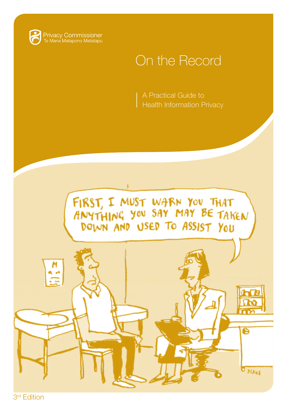

Privacy Commissioner<br>Te Mana Matapono Matatapu

## On the Record

A Practical Guide to **Health Information Privacy** 



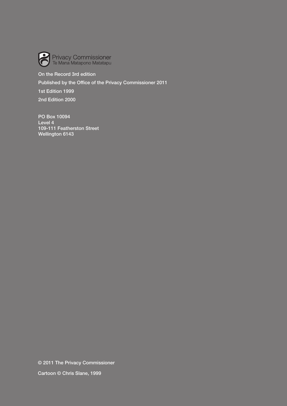

## On the Record 3rd edition

Published by the Office of the Privacy Commissioner 2011

1st Edition 1999

2nd Edition 2000

PO Box 10094 Level 4 109-111 Featherston Street Wellington 6143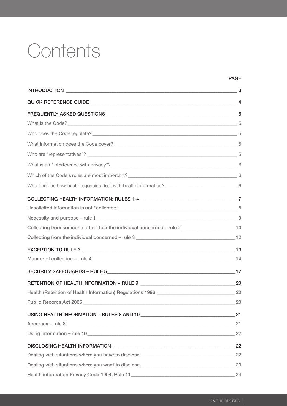# **Contents**

| Collecting from someone other than the individual concerned - rule 2________________________________ 10 |    |
|---------------------------------------------------------------------------------------------------------|----|
|                                                                                                         |    |
|                                                                                                         |    |
|                                                                                                         |    |
|                                                                                                         |    |
|                                                                                                         |    |
|                                                                                                         |    |
|                                                                                                         | 20 |
|                                                                                                         |    |
| Accuracy - rule 8 21                                                                                    |    |
|                                                                                                         |    |
|                                                                                                         |    |
|                                                                                                         |    |
|                                                                                                         |    |

**PAGE**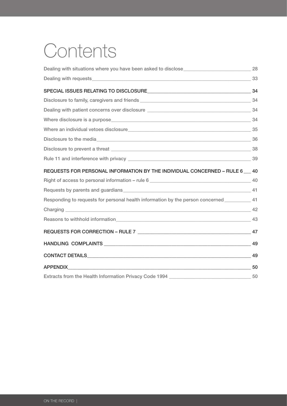# **Contents**

| REQUESTS FOR PERSONAL INFORMATION BY THE INDIVIDUAL CONCERNED - RULE 6 140                    |  |
|-----------------------------------------------------------------------------------------------|--|
|                                                                                               |  |
|                                                                                               |  |
| Responding to requests for personal health information by the person concerned ___________ 41 |  |
|                                                                                               |  |
|                                                                                               |  |
|                                                                                               |  |
| HANDLING COMPLAINTS 49                                                                        |  |
| $\frac{1}{2}$ 49                                                                              |  |
|                                                                                               |  |
|                                                                                               |  |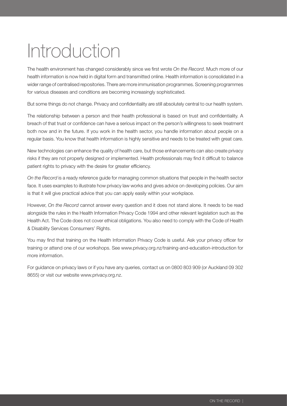# <span id="page-4-0"></span>Introduction

The health environment has changed considerably since we first wrote *On the Record*. Much more of our health information is now held in digital form and transmitted online. Health information is consolidated in a wider range of centralised repositories. There are more immunisation programmes. Screening programmes for various diseases and conditions are becoming increasingly sophisticated.

But some things do not change. Privacy and confidentiality are still absolutely central to our health system.

The relationship between a person and their health professional is based on trust and confidentiality. A breach of that trust or confidence can have a serious impact on the person's willingness to seek treatment both now and in the future. If you work in the health sector, you handle information about people on a regular basis. You know that health information is highly sensitive and needs to be treated with great care.

New technologies can enhance the quality of health care, but those enhancements can also create privacy risks if they are not properly designed or implemented. Health professionals may find it difficult to balance patient rights to privacy with the desire for greater efficiency.

*On the Record* is a ready reference guide for managing common situations that people in the health sector face. It uses examples to illustrate how privacy law works and gives advice on developing policies. Our aim is that it will give practical advice that you can apply easily within your workplace.

However, *On the Record* cannot answer every question and it does not stand alone. It needs to be read alongside the rules in the Health Information Privacy Code 1994 and other relevant legislation such as the Health Act. The Code does not cover ethical obligations. You also need to comply with the Code of Health & Disability Services Consumers' Rights.

You may find that training on the Health Information Privacy Code is useful. Ask your privacy officer for training or attend one of our workshops. See www.privacy.org.nz/training-and-education-introduction for more information.

For guidance on privacy laws or if you have any queries, contact us on 0800 803 909 (or Auckland 09 302 8655) or visit our website www.privacy.org.nz.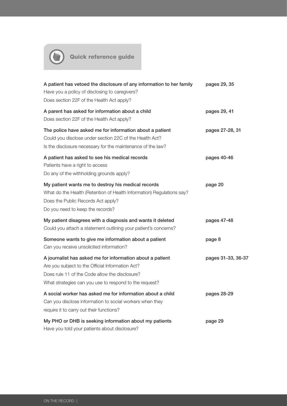<span id="page-5-0"></span>

Quick reference guide

| A patient has vetoed the disclosure of any information to her family<br>Have you a policy of disclosing to caregivers?<br>Does section 22F of the Health Act apply?                                                       | pages 29, 35       |
|---------------------------------------------------------------------------------------------------------------------------------------------------------------------------------------------------------------------------|--------------------|
| A parent has asked for information about a child<br>Does section 22F of the Health Act apply?                                                                                                                             | pages 29, 41       |
| The police have asked me for information about a patient<br>Could you disclose under section 22C of the Health Act?<br>Is the disclosure necessary for the maintenance of the law?                                        | pages 27-28, 31    |
| A patient has asked to see his medical records<br>Patients have a right to access<br>Do any of the withholding grounds apply?                                                                                             | pages 40-46        |
| My patient wants me to destroy his medical records<br>What do the Health (Retention of Health Information) Regulations say?<br>Does the Public Records Act apply?<br>Do you need to keep the records?                     | page 20            |
| My patient disagrees with a diagnosis and wants it deleted<br>Could you attach a statement outlining your patient's concerns?                                                                                             | pages 47-48        |
| Someone wants to give me information about a patient<br>Can you receive unsolicited information?                                                                                                                          | page 8             |
| A journalist has asked me for information about a patient<br>Are you subject to the Official Information Act?<br>Does rule 11 of the Code allow the disclosure?<br>What strategies can you use to respond to the request? | pages 31-33, 36-37 |
| A social worker has asked me for information about a child<br>Can you disclose information to social workers when they<br>require it to carry out their functions?                                                        | pages 28-29        |
| My PHO or DHB is seeking information about my patients<br>. The first contract of the second contract of the second contract $\alpha$                                                                                     | page 29            |

Have you told your patients about disclosure?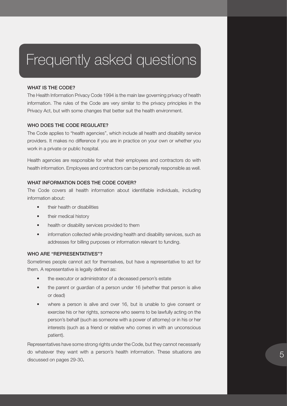## <span id="page-6-0"></span>Frequently asked questions

## WHAT IS THE CODE?

The Health Information Privacy Code 1994 is the main law governing privacy of health information. The rules of the Code are very similar to the privacy principles in the Privacy Act, but with some changes that better suit the health environment.

## WHO DOES THE CODE REGULATE?

The Code applies to "health agencies", which include all health and disability service providers. It makes no difference if you are in practice on your own or whether you work in a private or public hospital.

Health agencies are responsible for what their employees and contractors do with health information. Employees and contractors can be personally responsible as well.

## WHAT INFORMATION DOES THE CODE COVER?

The Code covers all health information about identifiable individuals, including information about:

- their health or disabilities
- their medical history
- health or disability services provided to them
- information collected while providing health and disability services, such as addresses for billing purposes or information relevant to funding.

## WHO ARE "REPRESENTATIVES"?

Sometimes people cannot act for themselves, but have a representative to act for them. A representative is legally defined as:

- the executor or administrator of a deceased person's estate
- the parent or guardian of a person under 16 (whether that person is alive or dead)
- where a person is alive and over 16, but is unable to give consent or exercise his or her rights, someone who seems to be lawfully acting on the person's behalf (such as someone with a power of attorney) or in his or her interests (such as a friend or relative who comes in with an unconscious patient).

Representatives have some strong rights under the Code, but they cannot necessarily do whatever they want with a person's health information. These situations are discussed on pages 29-30.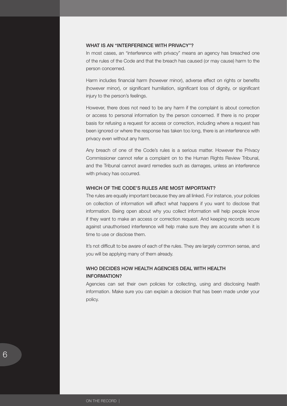## <span id="page-7-0"></span>WHAT IS AN "INTERFERENCE WITH PRIVACY"?

In most cases, an "interference with privacy" means an agency has breached one of the rules of the Code and that the breach has caused (or may cause) harm to the person concerned.

Harm includes financial harm (however minor), adverse effect on rights or benefits (however minor), or significant humiliation, significant loss of dignity, or significant injury to the person's feelings.

However, there does not need to be any harm if the complaint is about correction or access to personal information by the person concerned. If there is no proper basis for refusing a request for access or correction, including where a request has been ignored or where the response has taken too long, there is an interference with privacy even without any harm.

Any breach of one of the Code's rules is a serious matter. However the Privacy Commissioner cannot refer a complaint on to the Human Rights Review Tribunal, and the Tribunal cannot award remedies such as damages, unless an interference with privacy has occurred.

## WHICH OF THE CODE'S RULES ARE MOST IMPORTANT?

The rules are equally important because they are all linked. For instance, your policies on collection of information will affect what happens if you want to disclose that information. Being open about why you collect information will help people know if they want to make an access or correction request. And keeping records secure against unauthorised interference will help make sure they are accurate when it is time to use or disclose them.

It's not difficult to be aware of each of the rules. They are largely common sense, and you will be applying many of them already.

## WHO DECIDES HOW HEALTH AGENCIES DEAL WITH HEALTH information?

Agencies can set their own policies for collecting, using and disclosing health information. Make sure you can explain a decision that has been made under your policy.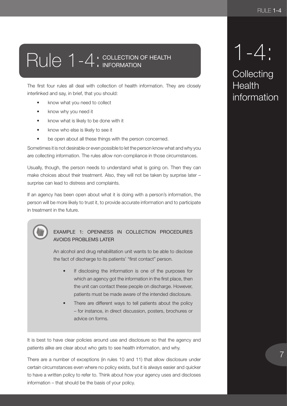# <span id="page-8-0"></span>Rule 1-4: COLLECTION OF HE

The first four rules all deal with collection of health information. They are closely interlinked and say, in brief, that you should:

- know what you need to collect
- know why you need it
- know what is likely to be done with it
- know who else is likely to see it
- be open about all these things with the person concerned.

Sometimes it is not desirable or even possible to let the person know what and why you are collecting information. The rules allow non-compliance in those circumstances.

Usually, though, the person needs to understand what is going on. Then they can make choices about their treatment. Also, they will not be taken by surprise later – surprise can lead to distress and complaints.

If an agency has been open about what it is doing with a person's information, the person will be more likely to trust it, to provide accurate information and to participate in treatment in the future.

> EXAMPLE 1: OPENNESS IN COLLECTION PROCEDURES AVOIDS PROBLEMS LATER

An alcohol and drug rehabilitation unit wants to be able to disclose the fact of discharge to its patients' "first contact" person.

- If disclosing the information is one of the purposes for which an agency got the information in the first place, then the unit can contact these people on discharge. However, patients must be made aware of the intended disclosure.
- There are different ways to tell patients about the policy – for instance, in direct discussion, posters, brochures or advice on forms.

It is best to have clear policies around use and disclosure so that the agency and patients alike are clear about who gets to see health information, and why.

There are a number of exceptions (in rules 10 and 11) that allow disclosure under certain circumstances even where no policy exists, but it is always easier and quicker to have a written policy to refer to. Think about how your agency uses and discloses information – that should be the basis of your policy.

1-4:

**Collecting Health** information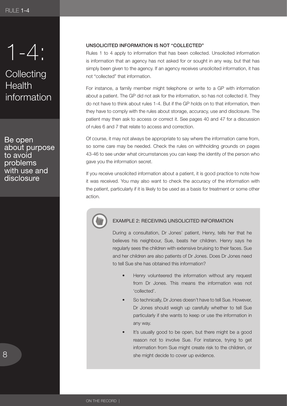<span id="page-9-0"></span>

## **Collecting Health** information

Be open about purpose to avoid problems with use and disclosure

## Unsolicited information is not "collected"

Rules 1 to 4 apply to information that has been collected. Unsolicited information is information that an agency has not asked for or sought in any way, but that has simply been given to the agency. If an agency receives unsolicited information, it has not "collected" that information.

For instance, a family member might telephone or write to a GP with information about a patient. The GP did not ask for the information, so has not collected it. They do not have to think about rules 1-4. But if the GP holds on to that information, then they have to comply with the rules about storage, accuracy, use and disclosure. The patient may then ask to access or correct it. See pages 40 and 47 for a discussion of rules 6 and 7 that relate to access and correction.

Of course, it may not always be appropriate to say where the information came from, so some care may be needed. Check the rules on withholding grounds on pages 43-46 to see under what circumstances you can keep the identity of the person who gave you the information secret.

If you receive unsolicited information about a patient, it is good practice to note how it was received. You may also want to check the accuracy of the information with the patient, particularly if it is likely to be used as a basis for treatment or some other action.



## EXAMPLE 2: RECEIVING UNSOLICITED INFORMATION

During a consultation, Dr Jones' patient, Henry, tells her that he believes his neighbour, Sue, beats her children. Henry says he regularly sees the children with extensive bruising to their faces. Sue and her children are also patients of Dr Jones. Does Dr Jones need to tell Sue she has obtained this information?

- Henry volunteered the information without any request from Dr Jones. This means the information was not 'collected'.
- So technically, Dr Jones doesn't have to tell Sue. However, Dr Jones should weigh up carefully whether to tell Sue particularly if she wants to keep or use the information in any way.
- It's usually good to be open, but there might be a good reason not to involve Sue. For instance, trying to get information from Sue might create risk to the children, or she might decide to cover up evidence.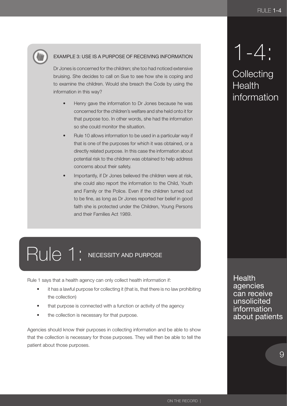<span id="page-10-0"></span>

## EXAMPLE 3: USE IS A PURPOSE OF RECEIVING INFORMATION

Dr Jones is concerned for the children; she too had noticed extensive bruising. She decides to call on Sue to see how she is coping and to examine the children. Would she breach the Code by using the information in this way?

- Henry gave the information to Dr Jones because he was concerned for the children's welfare and she held onto it for that purpose too. In other words, she had the information so she could monitor the situation.
- Rule 10 allows information to be used in a particular way if that is one of the purposes for which it was obtained, or a directly related purpose. In this case the information about potential risk to the children was obtained to help address concerns about their safety.
- Importantly, if Dr Jones believed the children were at risk, she could also report the information to the Child, Youth and Family or the Police. Even if the children turned out to be fine, as long as Dr Jones reported her belief in good faith she is protected under the Children, Young Persons and their Families Act 1989.

# Rule 1: NECESSITY AND PURPOSE

Rule 1 says that a health agency can only collect health information if:

- it has a lawful purpose for collecting it (that is, that there is no law prohibiting the collection)
- that purpose is connected with a function or activity of the agency
- the collection is necessary for that purpose.

Agencies should know their purposes in collecting information and be able to show that the collection is necessary for those purposes. They will then be able to tell the patient about those purposes.

# 1-4:

**Collecting Health** information

**Health** agencies can receive unsolicited information about patients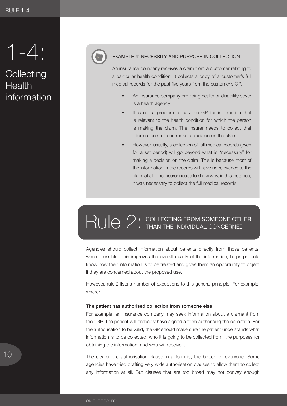<span id="page-11-0"></span>1-4:

## **Collecting Health** information



## EXAMPLE 4: NECESSITY AND PURPOSE IN COLLECTION

An insurance company receives a claim from a customer relating to a particular health condition. It collects a copy of a customer's full medical records for the past five years from the customer's GP.

- An insurance company providing health or disability cover is a health agency.
- It is not a problem to ask the GP for information that is relevant to the health condition for which the person is making the claim. The insurer needs to collect that information so it can make a decision on the claim.
- However, usually, a collection of full medical records (even for a set period) will go beyond what is "necessary" for making a decision on the claim. This is because most of the information in the records will have no relevance to the claim at all. The insurer needs to show why, in this instance, it was necessary to collect the full medical records.

# RUIC 2: COLLECTING FROM SOMEONE C

Agencies should collect information about patients directly from those patients, where possible. This improves the overall quality of the information, helps patients know how their information is to be treated and gives them an opportunity to object if they are concerned about the proposed use.

However, rule 2 lists a number of exceptions to this general principle. For example, where:

#### The patient has authorised collection from someone else

For example, an insurance company may seek information about a claimant from their GP. The patient will probably have signed a form authorising the collection. For the authorisation to be valid, the GP should make sure the patient understands what information is to be collected, who it is going to be collected from, the purposes for obtaining the information, and who will receive it.

The clearer the authorisation clause in a form is, the better for everyone. Some agencies have tried drafting very wide authorisation clauses to allow them to collect any information at all. But clauses that are too broad may not convey enough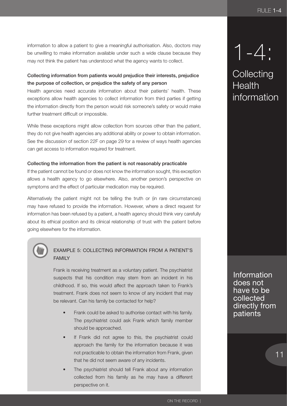information to allow a patient to give a meaningful authorisation. Also, doctors may be unwilling to make information available under such a wide clause because they may not think the patient has understood what the agency wants to collect.

## Collecting information from patients would prejudice their interests, prejudice the purpose of collection, or prejudice the safety of any person

Health agencies need accurate information about their patients' health. These exceptions allow health agencies to collect information from third parties if getting the information directly from the person would risk someone's safety or would make further treatment difficult or impossible.

While these exceptions might allow collection from sources other than the patient, they do not give health agencies any additional ability or power to obtain information. See the discussion of section 22F on page 29 for a review of ways health agencies can get access to information required for treatment.

## Collecting the information from the patient is not reasonably practicable

If the patient cannot be found or does not know the information sought, this exception allows a health agency to go elsewhere. Also, another person's perspective on symptoms and the effect of particular medication may be required.

Alternatively the patient might not be telling the truth or (in rare circumstances) may have refused to provide the information. However, where a direct request for information has been refused by a patient, a health agency should think very carefully about its ethical position and its clinical relationship of trust with the patient before going elsewhere for the information.



## EXAMPLE 5: COLLECTING INFORMATION FROM A PATIENT'S FAMILY

Frank is receiving treatment as a voluntary patient. The psychiatrist suspects that his condition may stem from an incident in his childhood. If so, this would affect the approach taken to Frank's treatment. Frank does not seem to know of any incident that may be relevant. Can his family be contacted for help?

- Frank could be asked to authorise contact with his family. The psychiatrist could ask Frank which family member should be approached.
- If Frank did not agree to this, the psychiatrist could approach the family for the information because it was not practicable to obtain the information from Frank, given that he did not seem aware of any incidents.
- The psychiatrist should tell Frank about any information collected from his family as he may have a different perspective on it.

1-4:

**Collecting Health** information

Information does not have to be collected directly from patients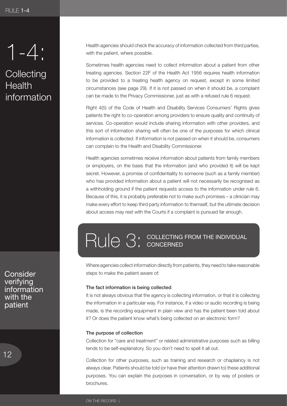<span id="page-13-0"></span>1-4:

**Collecting Health** information

**Consider** verifying information with the patient

Health agencies should check the accuracy of information collected from third parties, with the patient, where possible.

Sometimes health agencies need to collect information about a patient from other treating agencies. Section 22F of the Health Act 1956 requires health information to be provided to a treating health agency on request, except in some limited circumstances (see page 29). If it is not passed on when it should be, a complaint can be made to the Privacy Commissioner, just as with a refused rule 6 request.

Right 4(5) of the Code of Health and Disability Services Consumers' Rights gives patients the right to co-operation among providers to ensure quality and continuity of services. Co-operation would include sharing information with other providers, and this sort of information sharing will often be one of the purposes for which clinical information is collected. If information is not passed on when it should be, consumers can complain to the Health and Disability Commissioner.

Health agencies sometimes receive information about patients from family members or employers, on the basis that the information (and who provided it) will be kept secret. However, a promise of confidentiality to someone (such as a family member) who has provided information about a patient will not necessarily be recognised as a withholding ground if the patient requests access to the information under rule 6. Because of this, it is probably preferable not to make such promises – a clinician may make every effort to keep third party information to themself, but the ultimate decision about access may rest with the Courts if a complaint is pursued far enough.

# RUIE 3: COLLECTING FROM THE IN

Where agencies collect information directly from patients, they need to take reasonable steps to make the patient aware of:

#### The fact information is being collected

It is not always obvious that the agency is collecting information, or that it is collecting the information in a particular way. For instance, if a video or audio recording is being made, is the recording equipment in plain view and has the patient been told about it? Or does the patient know what's being collected on an electronic form?

## The purpose of collection

Collection for "care and treatment" or related administrative purposes such as billing tends to be self-explanatory. So you don't need to spell it all out.

Collection for other purposes, such as training and research or chaplaincy is not always clear. Patients should be told (or have their attention drawn to) these additional purposes. You can explain the purposes in conversation, or by way of posters or brochures.

ON THE RECORD |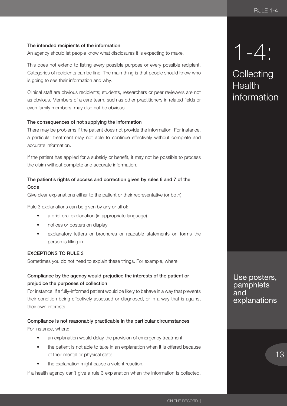## The intended recipients of the information

An agency should let people know what disclosures it is expecting to make.

This does not extend to listing every possible purpose or every possible recipient. Categories of recipients can be fine. The main thing is that people should know who is going to see their information and why.

Clinical staff are obvious recipients; students, researchers or peer reviewers are not as obvious. Members of a care team, such as other practitioners in related fields or even family members, may also not be obvious.

## The consequences of not supplying the information

There may be problems if the patient does not provide the information. For instance, a particular treatment may not able to continue effectively without complete and accurate information.

If the patient has applied for a subsidy or benefit, it may not be possible to process the claim without complete and accurate information.

## The patient's rights of access and correction given by rules 6 and 7 of the Code

Give clear explanations either to the patient or their representative (or both).

Rule 3 explanations can be given by any or all of:

- a brief oral explanation (in appropriate language)
- notices or posters on display
- explanatory letters or brochures or readable statements on forms the person is filling in.

## Exceptions to Rule 3

Sometimes you do not need to explain these things. For example, where:

## Compliance by the agency would prejudice the interests of the patient or prejudice the purposes of collection

For instance, if a fully-informed patient would be likely to behave in a way that prevents their condition being effectively assessed or diagnosed, or in a way that is against their own interests.

Compliance is not reasonably practicable in the particular circumstances For instance, where:

- an explanation would delay the provision of emergency treatment
- the patient is not able to take in an explanation when it is offered because of their mental or physical state
- the explanation might cause a violent reaction.

If a health agency can't give a rule 3 explanation when the information is collected,

1-4:

**Collecting Health** information

Use posters, pamphlets and explanations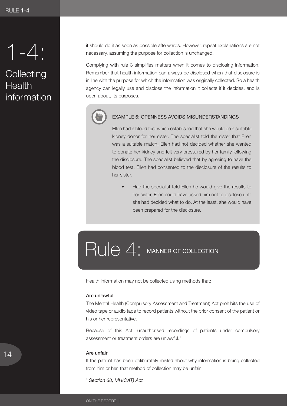<span id="page-15-0"></span>1-4:

## **Collecting Health** information

it should do it as soon as possible afterwards. However, repeat explanations are not necessary, assuming the purpose for collection is unchanged.

Complying with rule 3 simplifies matters when it comes to disclosing information. Remember that health information can always be disclosed when that disclosure is in line with the purpose for which the information was originally collected. So a health agency can legally use and disclose the information it collects if it decides, and is open about, its purposes.

## EXAMPLE 6: OPENNESS AVOIDS MISUNDERSTANDINGS

Ellen had a blood test which established that she would be a suitable kidney donor for her sister. The specialist told the sister that Ellen was a suitable match. Ellen had not decided whether she wanted to donate her kidney and felt very pressured by her family following the disclosure. The specialist believed that by agreeing to have the blood test, Ellen had consented to the disclosure of the results to her sister.

Had the specialist told Ellen he would give the results to her sister, Ellen could have asked him not to disclose until she had decided what to do. At the least, she would have been prepared for the disclosure.

## RUIC 4: MANNER OF COLLECTION

Health information may not be collected using methods that:

## Are unlawful

The Mental Health (Compulsory Assessment and Treatment) Act prohibits the use of video tape or audio tape to record patients without the prior consent of the patient or his or her representative.

Because of this Act, unauthorised recordings of patients under compulsory assessment or treatment orders are unlawful.1

### Are unfair

If the patient has been deliberately misled about why information is being collected from him or her, that method of collection may be unfair.

*1 Section 68, MH(CAT) Act*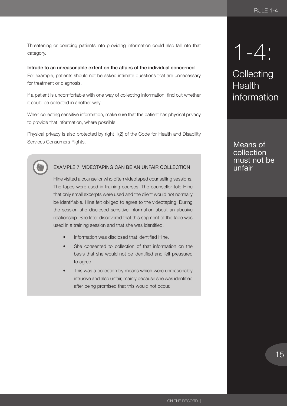Threatening or coercing patients into providing information could also fall into that category.

## Intrude to an unreasonable extent on the affairs of the individual concerned

For example, patients should not be asked intimate questions that are unnecessary for treatment or diagnosis.

If a patient is uncomfortable with one way of collecting information, find out whether it could be collected in another way.

When collecting sensitive information, make sure that the patient has physical privacy to provide that information, where possible.

Physical privacy is also protected by right 1(2) of the Code for Health and Disability Services Consumers Rights.



## EXAMPLE 7: VIDEOTAPING CAN BE AN UNFAIR COLLECTION

Hine visited a counsellor who often videotaped counselling sessions. The tapes were used in training courses. The counsellor told Hine that only small excerpts were used and the client would not normally be identifiable. Hine felt obliged to agree to the videotaping. During the session she disclosed sensitive information about an abusive relationship. She later discovered that this segment of the tape was used in a training session and that she was identified.

- Information was disclosed that identified Hine.
- She consented to collection of that information on the basis that she would not be identified and felt pressured to agree.
- This was a collection by means which were unreasonably intrusive and also unfair, mainly because she was identified after being promised that this would not occur.

1-4:

**Collecting Health** information

Means of collection must not be unfair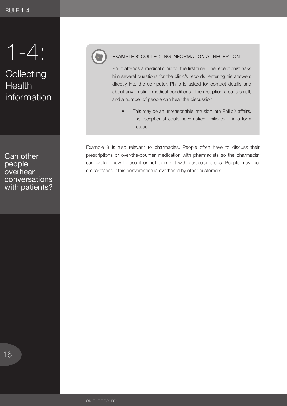1-4:

## **Collecting Health** information

Can other people **overhear** conversations with patients?



## EXAMPLE 8: COLLECTING INFORMATION AT RECEPTION

Philip attends a medical clinic for the first time. The receptionist asks him several questions for the clinic's records, entering his answers directly into the computer. Philip is asked for contact details and about any existing medical conditions. The reception area is small, and a number of people can hear the discussion.

This may be an unreasonable intrusion into Philip's affairs. The receptionist could have asked Philip to fill in a form instead.

Example 8 is also relevant to pharmacies. People often have to discuss their prescriptions or over-the-counter medication with pharmacists so the pharmacist can explain how to use it or not to mix it with particular drugs. People may feel embarrassed if this conversation is overheard by other customers.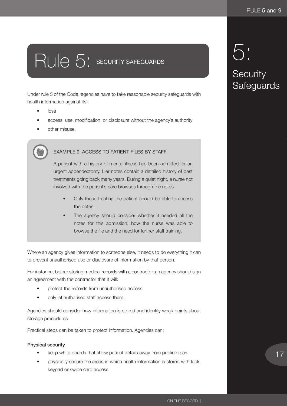# <span id="page-18-0"></span>Rule 5: SECURITY SAFEGUARDS

Under rule 5 of the Code, agencies have to take reasonable security safeguards with health information against its:

- loss
- access, use, modification, or disclosure without the agency's authority
- other misuse.

## EXAMPLE 9: ACCESS TO PATIENT FILES BY STAFF

A patient with a history of mental illness has been admitted for an urgent appendectomy. Her notes contain a detailed history of past treatments going back many years. During a quiet night, a nurse not involved with the patient's care browses through the notes.

- Only those treating the patient should be able to access the notes.
- The agency should consider whether it needed all the notes for this admission, how the nurse was able to browse the file and the need for further staff training.

Where an agency gives information to someone else, it needs to do everything it can to prevent unauthorised use or disclosure of information by that person.

For instance, before storing medical records with a contractor, an agency should sign an agreement with the contractor that it will:

- protect the records from unauthorised access
- only let authorised staff access them.

Agencies should consider how information is stored and identify weak points about storage procedures.

Practical steps can be taken to protect information. Agencies can:

## Physical security

- keep white boards that show patient details away from public areas
- physically secure the areas in which health information is stored with lock, keypad or swipe card access

## 5: Security Safeguards 5: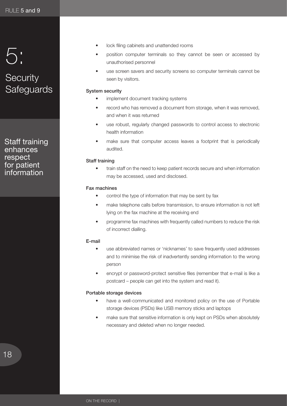## 5: Security -------<br>Saferiu 5: **Security Safeguards**

information

Staff training enhances respect for patient information

- lock filing cabinets and unattended rooms
- position computer terminals so they cannot be seen or accessed by unauthorised personnel
- use screen savers and security screens so computer terminals cannot be seen by visitors.

## System security

- implement document tracking systems
- record who has removed a document from storage, when it was removed, and when it was returned
- use robust, regularly changed passwords to control access to electronic health information
- make sure that computer access leaves a footprint that is periodically audited.

## Staff training

train staff on the need to keep patient records secure and when information may be accessed, used and disclosed.

## Fax machines

- control the type of information that may be sent by fax
- make telephone calls before transmission, to ensure information is not left lying on the fax machine at the receiving end
- programme fax machines with frequently called numbers to reduce the risk of incorrect dialling.

## E-mail

- use abbreviated names or 'nicknames' to save frequently used addresses and to minimise the risk of inadvertently sending information to the wrong person
- encrypt or password-protect sensitive files (remember that e-mail is like a postcard – people can get into the system and read it).

## Portable storage devices

- have a well-communicated and monitored policy on the use of Portable storage devices (PSDs) like USB memory sticks and laptops
- make sure that sensitive information is only kept on PSDs when absolutely necessary and deleted when no longer needed.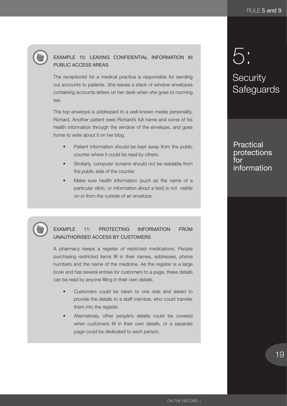## EXAMPLE 10: LEAVING CONFIDENTIAL INFORMATION IN PUBLIC ACCESS AREAS

The receptionist for a medical practice is responsible for sending out accounts to patients. She leaves a stack of window envelopes containing accounts letters on her desk when she goes to morning tea.

The top envelope is addressed to a well-known media personality, Richard. Another patient sees Richard's full name and some of his health information through the window of the envelope, and goes home to write about it on her blog.

- Patient information should be kept away from the public counter where it could be read by others.
- Similarly, computer screens should not be readable from the public side of the counter.
- Make sure health information (such as the name of a particular clinic, or information about a test) is not visible on or from the outside of an envelope.

## EXAMPLE 11: PROTECTING INFORMATION FROM UNAUTHORISED ACCESS BY CUSTOMERS

A pharmacy keeps a register of restricted medications. People purchasing restricted items fill in their names, addresses, phone numbers and the name of the medicine. As the register is a large book and has several entries for customers to a page, these details can be read by anyone filling in their own details.

- Customers could be taken to one side and asked to provide the details to a staff member, who could transfer them into the register.
- Alternatively, other people's details could be covered when customers fill in their own details, or a separate page could be dedicated to each person.

## 5: 5:

## Security Safarin information **Security Safeguards**

Practical protections for information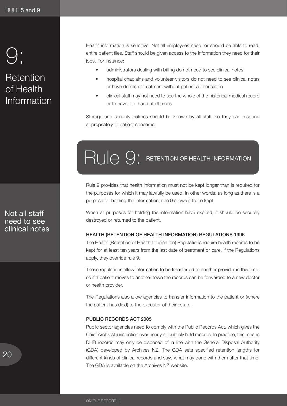## <span id="page-21-0"></span>9: 9:

## Retention of Health information Information

Health information is sensitive. Not all employees need, or should be able to read, entire patient files. Staff should be given access to the information they need for their jobs. For instance:

- administrators dealing with billing do not need to see clinical notes
- hospital chaplains and volunteer visitors do not need to see clinical notes or have details of treatment without patient authorisation
- clinical staff may not need to see the whole of the historical medical record or to have it to hand at all times.

Storage and security policies should be known by all staff, so they can respond appropriately to patient concerns.

# Rule 9: RETENTION OF HEALTH INFORMATION

Rule 9 provides that health information must not be kept longer than is required for the purposes for which it may lawfully be used. In other words, as long as there is a purpose for holding the information, rule 9 allows it to be kept.

When all purposes for holding the information have expired, it should be securely destroyed or returned to the patient.

## Health (Retention of Health Information) Regulations 1996

The Health (Retention of Health Information) Regulations require health records to be kept for at least ten years from the last date of treatment or care. If the Regulations apply, they override rule 9.

These regulations allow information to be transferred to another provider in this time, so if a patient moves to another town the records can be forwarded to a new doctor or health provider.

The Regulations also allow agencies to transfer information to the patient or (where the patient has died) to the executor of their estate.

## PUBLIC RECORDS ACT 2005

Public sector agencies need to comply with the Public Records Act, which gives the Chief Archivist jurisdiction over nearly all publicly held records. In practice, this means DHB records may only be disposed of in line with the General Disposal Authority (GDA) developed by Archives NZ. The GDA sets specified retention lengths for different kinds of clinical records and says what may done with them after that time. The GDA is available on the Archives NZ website.

Not all staff need to see clinical notes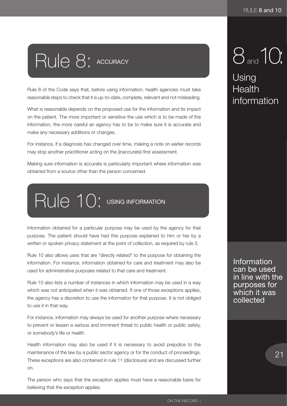# <span id="page-22-0"></span>Rule 8: ACCURACY

Rule 8 of the Code says that, before using information, health agencies must take reasonable steps to check that it is up-to-date, complete, relevant and not misleading.

What is reasonable depends on the proposed use for the information and its impact on the patient. The more important or sensitive the use which is to be made of the information, the more careful an agency has to be to make sure it is accurate and make any necessary additions or changes.

For instance, if a diagnosis has changed over time, making a note on earlier records may stop another practitioner acting on the (inaccurate) first assessment.

Making sure information is accurate is particularly important where information was obtained from a source other than the person concerned.

# Rule 10: USING INFORMATION

Information obtained for a particular purpose may be used by the agency for that purpose. The patient should have had this purpose explained to him or her by a written or spoken privacy statement at the point of collection, as required by rule 3.

Rule 10 also allows uses that are "directly related" to the purpose for obtaining the information. For instance, information obtained for care and treatment may also be used for administrative purposes related to that care and treatment.

Rule 10 also lists a number of instances in which information may be used in a way which was not anticipated when it was obtained. If one of those exceptions applies, the agency has a discretion to use the information for that purpose. It is not obliged to use it in that way.

For instance, information may always be used for another purpose where necessary to prevent or lessen a serious and imminent threat to public health or public safety, or somebody's life or health.

Health information may also be used if it is necessary to avoid prejudice to the maintenance of the law by a public sector agency or for the conduct of proceedings. These exceptions are also contained in rule 11 (disclosure) and are discussed further on.

The person who says that the exception applies must have a reasonable basis for believing that the exception applies.

# 8 and 10:

## Using Health Health information information

**Information** can be used in line with the purposes for which it was collected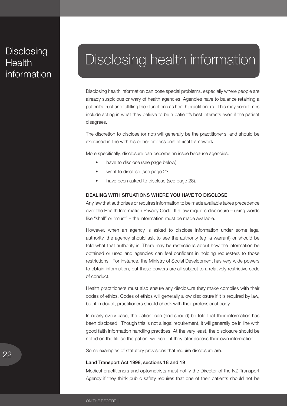## <span id="page-23-0"></span>Disclosing<br>Health information Disclosing **Health**

## Disclosing health information

Disclosing health information can pose special problems, especially where people are already suspicious or wary of health agencies. Agencies have to balance retaining a patient's trust and fulfilling their functions as health practitioners. This may sometimes include acting in what they believe to be a patient's best interests even if the patient disagrees.

The discretion to disclose (or not) will generally be the practitioner's, and should be exercised in line with his or her professional ethical framework.

More specifically, disclosure can become an issue because agencies:

- have to disclose (see page below)
- want to disclose (see page 23)
- have been asked to disclose (see page 28).

## Dealing with situations where you Have to disclose

Any law that authorises or requires information to be made available takes precedence over the Health Information Privacy Code. If a law requires disclosure – using words like "shall" or "must" – the information must be made available.

However, when an agency is asked to disclose information under some legal authority, the agency should ask to see the authority (eg, a warrant) or should be told what that authority is. There may be restrictions about how the information be obtained or used and agencies can feel confident in holding requesters to those restrictions. For instance, the Ministry of Social Development has very wide powers to obtain information, but these powers are all subject to a relatively restrictive code of conduct.

Health practitioners must also ensure any disclosure they make complies with their codes of ethics. Codes of ethics will generally allow disclosure if it is required by law, but if in doubt, practitioners should check with their professional body.

In nearly every case, the patient can (and should) be told that their information has been disclosed. Though this is not a legal requirement, it will generally be in line with good faith information handling practices. At the very least, the disclosure should be noted on the file so the patient will see it if they later access their own information.

Some examples of statutory provisions that require disclosure are:

## Land Transport Act 1998, sections 18 and 19

Medical practitioners and optometrists must notify the Director of the NZ Transport Agency if they think public safety requires that one of their patients should not be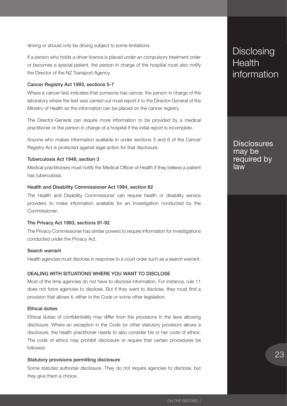<span id="page-24-0"></span>driving or should only be driving subject to some limitations.

If a person who holds a driver licence is placed under an compulsory treatment order or becomes a special patient, the person in charge of the hospital must also notify the Director of the NZ Transport Agency.

#### Cancer Registry Act 1993, sections 5-7

Where a cancer test indicates that someone has cancer, the person in charge of the laboratory where the test was carried out must report it to the Director-General of the Ministry of Health so the information can be placed on the cancer registry.

The Director-General can require more information to be provided by a medical practitioner or the person in charge of a hospital if the initial report is incomplete.

Anyone who makes information available in under sections 5 and 6 of the Cancer Registry Act is protected against legal action for that disclosure.

#### Tuberculosis Act 1948, section 3

Medical practitioners must notify the Medical Officer of Health if they believe a patient has tuberculosis.

## Health and Disability Commissioner Act 1994, section 62

The Health and Disability Commissioner can require health or disability service providers to make information available for an investigation conducted by the Commissioner.

#### The Privacy Act 1993, sections 91-92

The Privacy Commissioner has similar powers to require information for investigations conducted under the Privacy Act.

### Search warrant

Health agencies must disclose in response to a court order such as a search warrant.

#### Dealing with situations where you Want to disclose

Most of the time agencies do not have to disclose information. For instance, rule 11 does not force agencies to disclose. But if they want to disclose, they must find a provision that allows it, either in the Code or some other legislation.

## Ethical duties

Ethical duties of confidentiality may differ from the provisions in the laws allowing disclosure. Where an exception in the Code (or other statutory provision) allows a disclosure, the health practitioner needs to also consider his or her code of ethics. The code of ethics may prohibit disclosure or require that certain procedures be followed.

#### Statutory provisions permitting disclosure

Some statutes authorise disclosure. They do not require agencies to disclose, but they give them a choice.

## Disclosing<br>Health information **Disclosing Health**

**Disclosures** may be required by law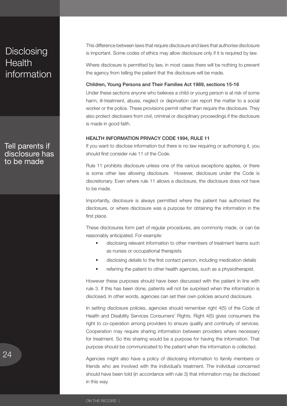## <span id="page-25-0"></span>Disclosing<br>Health information Disclosing **Health**

Tell parents if disclosure has to be made

This difference between laws that require disclosure and laws that authorise disclosure is important. Some codes of ethics may allow disclosure only if it is required by law.

Where disclosure is permitted by law, in most cases there will be nothing to prevent the agency from telling the patient that the disclosure will be made.

#### Children, Young Persons and Their Families Act 1989, sections 15-16

Under these sections anyone who believes a child or young person is at risk of some harm, ill-treatment, abuse, neglect or deprivation can report the matter to a social worker or the police. These provisions permit rather than require the disclosure. They also protect disclosers from civil, criminal or disciplinary proceedings if the disclosure is made in good faith.

## Health Information Privacy Code 1994, rule 11

If you want to disclose information but there is no law requiring or authorising it, you should first consider rule 11 of the Code.

Rule 11 prohibits disclosure unless one of the various exceptions applies, or there is some other law allowing disclosure. However, disclosure under the Code is discretionary. Even where rule 11 allows a disclosure, the disclosure does not have to be made.

Importantly, disclosure is always permitted where the patient has authorised the disclosure, or where disclosure was a purpose for obtaining the information in the first place.

These disclosures form part of regular procedures, are commonly made, or can be reasonably anticipated. For example:

- disclosing relevant information to other members of treatment teams such as nurses or occupational therapists
- disclosing details to the first contact person, including medication details
- referring the patient to other health agencies, such as a physiotherapist.

However these purposes should have been discussed with the patient in line with rule 3. If this has been done, patients will not be surprised when the information is disclosed. In other words, agencies can set their own policies around disclosure.

In setting disclosure policies, agencies should remember right 4(5) of the Code of Health and Disability Services Consumers' Rights. Right 4(5) gives consumers the right to co-operation among providers to ensure quality and continuity of services. Cooperation may require sharing information between providers where necessary for treatment. So this sharing would be a purpose for having the information. That purpose should be communicated to the patient when the information is collected.

Agencies might also have a policy of disclosing information to family members or friends who are involved with the individual's treatment. The individual concerned should have been told (in accordance with rule 3) that information may be disclosed in this way.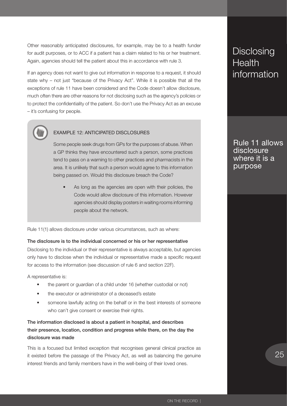Other reasonably anticipated disclosures, for example, may be to a health funder for audit purposes, or to ACC if a patient has a claim related to his or her treatment. Again, agencies should tell the patient about this in accordance with rule 3.

If an agency does not want to give out information in response to a request, it should state why – not just "because of the Privacy Act". While it is possible that all the exceptions of rule 11 have been considered and the Code doesn't allow disclosure, much often there are other reasons for not disclosing such as the agency's policies or to protect the confidentiality of the patient. So don't use the Privacy Act as an excuse – it's confusing for people.



## EXAMPLE 12: ANTICIPATED DISCLOSURES

Some people seek drugs from GPs for the purposes of abuse. When a GP thinks they have encountered such a person, some practices tend to pass on a warning to other practices and pharmacists in the area. It is unlikely that such a person would agree to this information being passed on. Would this disclosure breach the Code?

As long as the agencies are open with their policies, the Code would allow disclosure of this information. However agencies should display posters in waiting rooms informing people about the network.

Rule 11(1) allows disclosure under various circumstances, such as where:

## The disclosure is to the individual concerned or his or her representative

Disclosing to the individual or their representative is always acceptable, but agencies only have to disclose when the individual or representative made a specific request for access to the information (see discussion of rule 6 and section 22F).

A representative is:

- the parent or guardian of a child under 16 (whether custodial or not)
- the executor or administrator of a deceased's estate
- someone lawfully acting on the behalf or in the best interests of someone who can't give consent or exercise their rights.

## The information disclosed is about a patient in hospital, and describes their presence, location, condition and progress while there, on the day the disclosure was made

This is a focused but limited exception that recognises general clinical practice as it existed before the passage of the Privacy Act, as well as balancing the genuine interest friends and family members have in the well-being of their loved ones.

## Disclosing<br>Health information **Disclosing Health**

Rule 11 allows disclosure where it is a purpose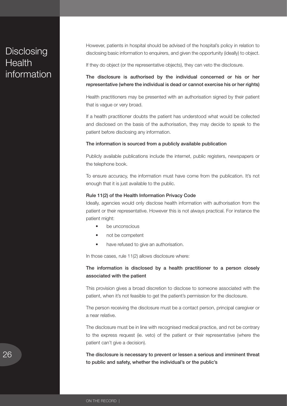## Disclosing<br>Health information Disclosing **Health**

However, patients in hospital should be advised of the hospital's policy in relation to disclosing basic information to enquirers, and given the opportunity (ideally) to object.

If they do object (or the representative objects), they can veto the disclosure.

The disclosure is authorised by the individual concerned or his or her representative (where the individual is dead or cannot exercise his or her rights)

Health practitioners may be presented with an authorisation signed by their patient that is vague or very broad.

If a health practitioner doubts the patient has understood what would be collected and disclosed on the basis of the authorisation, they may decide to speak to the patient before disclosing any information.

#### The information is sourced from a publicly available publication

Publicly available publications include the internet, public registers, newspapers or the telephone book.

To ensure accuracy, the information must have come from the publication. It's not enough that it is just available to the public.

#### Rule 11(2) of the Health Information Privacy Code

Ideally, agencies would only disclose health information with authorisation from the patient or their representative. However this is not always practical. For instance the patient might:

- be unconscious
- not be competent
- have refused to give an authorisation.

In those cases, rule 11(2) allows disclosure where:

## The information is disclosed by a health practitioner to a person closely associated with the patient

This provision gives a broad discretion to disclose to someone associated with the patient, when it's not feasible to get the patient's permission for the disclosure.

The person receiving the disclosure must be a contact person, principal caregiver or a near relative.

The disclosure must be in line with recognised medical practice, and not be contrary to the express request (ie. veto) of the patient or their representative (where the patient can't give a decision).

The disclosure is necessary to prevent or lessen a serious and imminent threat to public and safety, whether the individual's or the public's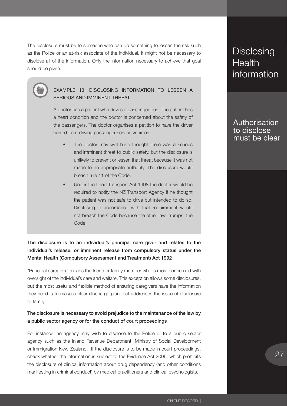The disclosure must be to someone who can do something to lessen the risk such as the Police or an at-risk associate of the individual. It might not be necessary to disclose all of the information. Only the information necessary to achieve that goal should be given.



## EXAMPLE 13: DISCLOSING INFORMATION TO LESSEN A SERIOUS AND IMMINENT THREAT

A doctor has a patient who drives a passenger bus. The patient has a heart condition and the doctor is concerned about the safety of the passengers. The doctor organises a petition to have the driver barred from driving passenger service vehicles.

- The doctor may well have thought there was a serious and imminent threat to public safety, but the disclosure is unlikely to prevent or lessen that threat because it was not made to an appropriate authority. The disclosure would breach rule 11 of the Code.
- Under the Land Transport Act 1998 the doctor would be required to notify the NZ Transport Agency if he thought the patient was not safe to drive but intended to do so. Disclosing in accordance with that requirement would not breach the Code because the other law 'trumps' the Code.

The disclosure is to an individual's principal care giver and relates to the individual's release, or imminent release from compulsory status under the Mental Health (Compulsory Assessment and Treatment) Act 1992

"Principal caregiver" means the friend or family member who is most concerned with oversight of the individual's care and welfare. This exception allows some disclosures, but the most useful and flexible method of ensuring caregivers have the information they need is to make a clear discharge plan that addresses the issue of disclosure to family.

## The disclosure is necessary to avoid prejudice to the maintenance of the law by a public sector agency or for the conduct of court proceedings

For instance, an agency may wish to disclose to the Police or to a public sector agency such as the Inland Revenue Department, Ministry of Social Development or Immigration New Zealand. If the disclosure is to be made in court proceedings, check whether the information is subject to the Evidence Act 2006, which prohibits the disclosure of clinical information about drug dependency (and other conditions manifesting in criminal conduct) by medical practitioners and clinical psychologists.

## Disclosing<br>Health information **Disclosing Health**

Authorisation to disclose must be clear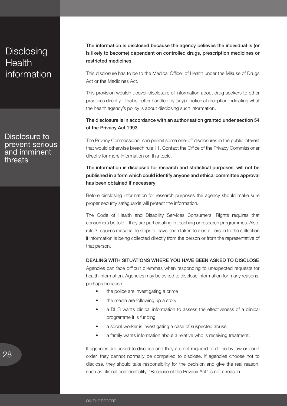## <span id="page-29-0"></span>Disclosing<br>Health information Disclosing **Health**

Disclosure to prevent serious and imminent threats

The information is disclosed because the agency believes the individual is (or is likely to become) dependent on controlled drugs, prescription medicines or restricted medicines

This disclosure has to be to the Medical Officer of Health under the Misuse of Drugs Act or the Medicines Act.

This provision wouldn't cover disclosure of information about drug seekers to other practices directly – that is better handled by (say) a notice at reception indicating what the health agency's policy is about disclosing such information.

## The disclosure is in accordance with an authorisation granted under section 54 of the Privacy Act 1993

The Privacy Commissioner can permit some one-off disclosures in the public interest that would otherwise breach rule 11. Contact the Office of the Privacy Commissioner directly for more information on this topic.

## The information is disclosed for research and statistical purposes, will not be published in a form which could identify anyone and ethical committee approval has been obtained if necessary

Before disclosing information for research purposes the agency should make sure proper security safeguards will protect the information.

The Code of Health and Disability Services Consumers' Rights requires that consumers be told if they are participating in teaching or research programmes. Also, rule 3 requires reasonable steps to have been taken to alert a person to the collection if information is being collected directly from the person or from the representative of that person.

## Dealing with situations where You have been asked to disclose

Agencies can face difficult dilemmas when responding to unexpected requests for health information. Agencies may be asked to disclose information for many reasons, perhaps because:

- the police are investigating a crime
- the media are following up a story
- a DHB wants clinical information to assess the effectiveness of a clinical programme it is funding
- a social worker is investigating a case of suspected abuse
- a family wants information about a relative who is receiving treatment.

If agencies are asked to disclose and they are not required to do so by law or court order, they cannot normally be compelled to disclose. If agencies choose not to disclose, they should take responsibility for the decision and give the real reason, such as clinical confidentiality. "Because of the Privacy Act" is not a reason.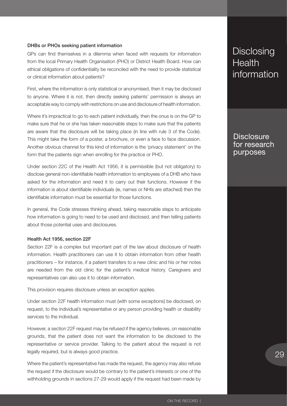#### DHBs or PHOs seeking patient information

GPs can find themselves in a dilemma when faced with requests for information from the local Primary Health Organisation (PHO) or District Health Board. How can ethical obligations of confidentiality be reconciled with the need to provide statistical or clinical information about patients?

First, where the information is only statistical or anonymised, then it may be disclosed to anyone. Where it is not, then directly seeking patients' permission is always an acceptable way to comply with restrictions on use and disclosure of health information.

Where it's impractical to go to each patient individually, then the onus is on the GP to make sure that he or she has taken reasonable steps to make sure that the patients are aware that the disclosure will be taking place (in line with rule 3 of the Code). This might take the form of a poster, a brochure, or even a face to face discussion. Another obvious channel for this kind of information is the 'privacy statement' on the form that the patients sign when enrolling for the practice or PHO.

Under section 22C of the Health Act 1956, it is permissible (but not obligatory) to disclose general non-identifiable health information to employees of a DHB who have asked for the information and need it to carry out their functions. However if the information is about identifiable individuals (ie, names or NHIs are attached) then the identifiable information must be essential for those functions.

In general, the Code stresses thinking ahead, taking reasonable steps to anticipate how information is going to need to be used and disclosed, and then telling patients about those potential uses and disclosures.

#### Health Act 1956, section 22F

Section 22F is a complex but important part of the law about disclosure of health information. Health practitioners can use it to obtain information from other health practitioners – for instance, if a patient transfers to a new clinic and his or her notes are needed from the old clinic for the patient's medical history. Caregivers and representatives can also use it to obtain information.

This provision requires disclosure unless an exception applies.

Under section 22F health information must (with some exceptions) be disclosed, on request, to the individual's representative or any person providing health or disability services to the individual.

However, a section 22F request may be refused if the agency believes, on reasonable grounds, that the patient does not want the information to be disclosed to the representative or service provider. Talking to the patient about the request is not legally required, but is always good practice.

Where the patient's representative has made the request, the agency may also refuse the request if the disclosure would be contrary to the patient's interests or one of the withholding grounds in sections 27-29 would apply if the request had been made by

## Disclosing<br>Health information **Disclosing Health**

## **Disclosure** for research purposes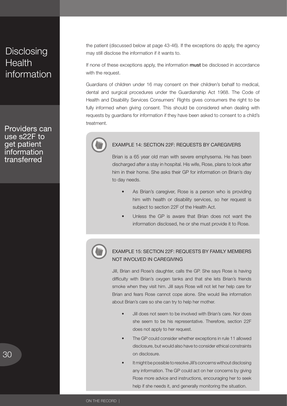## Disclosing<br>Health information Disclosing **Health**

Providers can use s22F to get patient **information** transferred

the patient (discussed below at page 43-46). If the exceptions do apply, the agency may still disclose the information if it wants to.

If none of these exceptions apply, the information must be disclosed in accordance with the request.

Guardians of children under 16 may consent on their children's behalf to medical, dental and surgical procedures under the Guardianship Act 1968. The Code of Health and Disability Services Consumers' Rights gives consumers the right to be fully informed when giving consent. This should be considered when dealing with requests by guardians for information if they have been asked to consent to a child's treatment.



## EXAMPLE 14: SECTION 22F: REQUESTS BY CAREGIVERS

Brian is a 65 year old man with severe emphysema. He has been discharged after a stay in hospital. His wife, Rose, plans to look after him in their home. She asks their GP for information on Brian's day to day needs.

- As Brian's caregiver, Rose is a person who is providing him with health or disability services, so her request is subject to section 22F of the Health Act.
- Unless the GP is aware that Brian does not want the information disclosed, he or she must provide it to Rose.



## EXAMPLE 15: SECTION 22F: REQUESTS BY FAMILY MEMBERS NOT INVOLVED IN CAREGIVING

Jill, Brian and Rose's daughter, calls the GP. She says Rose is having difficulty with Brian's oxygen tanks and that she lets Brian's friends smoke when they visit him. Jill says Rose will not let her help care for Brian and fears Rose cannot cope alone. She would like information about Brian's care so she can try to help her mother.

- Jill does not seem to be involved with Brian's care. Nor does she seem to be his representative. Therefore, section 22F does not apply to her request.
- The GP could consider whether exceptions in rule 11 allowed disclosure, but would also have to consider ethical constraints on disclosure.
- It might be possible to resolve Jill's concerns without disclosing any information. The GP could act on her concerns by giving Rose more advice and instructions, encouraging her to seek help if she needs it, and generally monitoring the situation.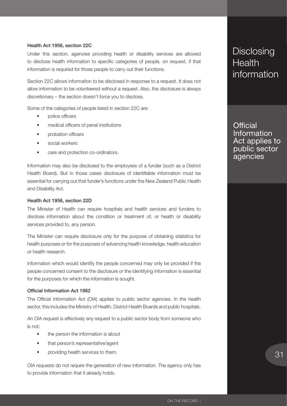## Health Act 1956, section 22C

Under this section, agencies providing health or disability services are allowed to disclose health information to specific categories of people, on request, if that information is required for those people to carry out their functions.

Section 22C allows information to be disclosed in response to a request. It does not allow information to be volunteered without a request. Also, the disclosure is always discretionary – the section doesn't force you to disclose.

Some of the categories of people listed in section 22C are:

- police officers
- medical officers of penal institutions
- probation officers
- social workers
- care and protection co-ordinators.

Information may also be disclosed to the employees of a funder (such as a District Health Board). But in those cases disclosure of identifiable information must be essential for carrying out that funder's functions under the New Zealand Public Health and Disability Act.

#### Health Act 1956, section 22D

The Minister of Health can require hospitals and health services and funders to disclose information about the condition or treatment of, or health or disability services provided to, any person.

The Minister can require disclosure only for the purpose of obtaining statistics for health purposes or for the purposes of advancing health knowledge, health education or health research.

Information which would identify the people concerned may only be provided if the people concerned consent to the disclosure or the identifying information is essential for the purposes for which the information is sought.

#### Official Information Act 1982

The Official Information Act (OIA) applies to public sector agencies. In the health sector, this includes the Ministry of Health, District Health Boards and public hospitals.

An OIA request is effectively any request to a public sector body from someone who is not:

- the person the information is about
- that person's representative/agent
- providing health services to them.

OIA requests do not require the generation of new information. The agency only has to provide information that it already holds.

## Disclosing<br>Health information **Disclosing Health**

**Official** Information Act applies to public sector agencies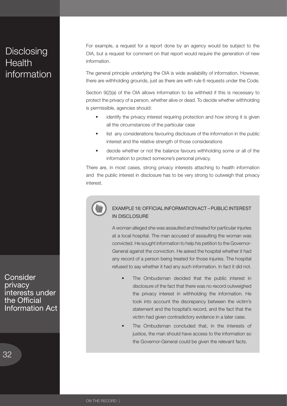## Disclosing<br>Health information Disclosing **Health**

For example, a request for a report done by an agency would be subject to the OIA, but a request for comment on that report would require the generation of new information.

The general principle underlying the OIA is wide availability of information. However, there are withholding grounds, just as there are with rule 6 requests under the Code.

Section 9(2)(a) of the OIA allows information to be withheld if this is necessary to protect the privacy of a person, whether alive or dead. To decide whether withholding is permissible, agencies should:

- identify the privacy interest requiring protection and how strong it is given all the circumstances of the particular case
- list any considerations favouring disclosure of the information in the public interest and the relative strength of those considerations
- decide whether or not the balance favours withholding some or all of the information to protect someone's personal privacy.

There are, in most cases, strong privacy interests attaching to health information and the public interest in disclosure has to be very strong to outweigh that privacy interest.



## EXAMPLE 16: OFFICIAL INFORMATION ACT – PUBLIC INTEREST IN DISCLOSURE

A woman alleged she was assaulted and treated for particular injuries at a local hospital. The man accused of assaulting the woman was convicted. He sought information to help his petition to the Governor-General against the conviction. He asked the hospital whether it had any record of a person being treated for those injuries. The hospital refused to say whether it had any such information. In fact it did not.

- The Ombudsman decided that the public interest in disclosure of the fact that there was no record outweighed the privacy interest in withholding the information. He took into account the discrepancy between the victim's statement and the hospital's record, and the fact that the victim had given contradictory evidence in a later case.
- The Ombudsman concluded that, in the interests of justice, the man should have access to the information so the Governor-General could be given the relevant facts.

**Consider** privacy interests under the Official Information Act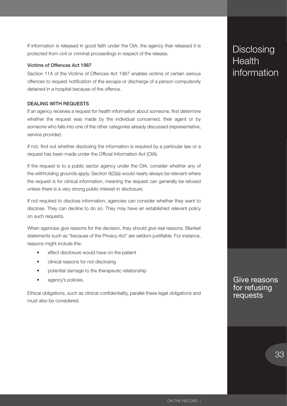<span id="page-34-0"></span>If information is released in good faith under the OIA, the agency that released it is protected from civil or criminal proceedings in respect of the release.

## Victims of Offences Act 1987

Section 11A of the Victims of Offences Act 1987 enables victims of certain serious offences to request notification of the escape or discharge of a person compulsorily detained in a hospital because of the offence.

## Dealing with requests

If an agency receives a request for health information about someone, first determine whether the request was made by the individual concerned, their agent or by someone who falls into one of the other categories already discussed (representative, service provider).

If not, find out whether disclosing the information is required by a particular law or a request has been made under the Official Information Act (OIA).

If the request is to a public sector agency under the OIA, consider whether any of the withholding grounds apply. Section 9(2)(a) would nearly always be relevant where the request is for clinical information, meaning the request can generally be refused unless there is a very strong public interest in disclosure.

If not required to disclose information, agencies can consider whether they want to disclose. They can decline to do so. They may have an established relevant policy on such requests.

When agencies give reasons for the decision, they should give real reasons. Blanket statements such as "because of the Privacy Act" are seldom justifiable. For instance, reasons might include the:

- effect disclosure would have on the patient
- clinical reasons for not disclosing
- potential damage to the therapeutic relationship
- agency's policies.

Ethical obligations, such as clinical confidentiality, parallel these legal obligations and must also be considered.

## Disclosing<br>Health information **Health**

Give reasons for refusing requests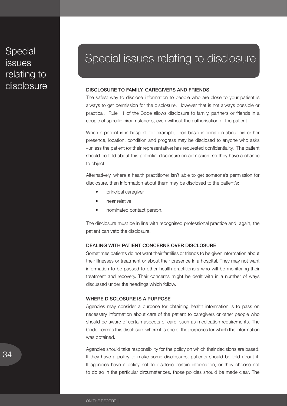## <span id="page-35-0"></span>Special<br>issues relating to disclosure **Special** issues

## Special issues relating to disclosure

#### Disclosure to family, caregivers and friends

The safest way to disclose information to people who are close to your patient is always to get permission for the disclosure. However that is not always possible or practical. Rule 11 of the Code allows disclosure to family, partners or friends in a couple of specific circumstances, even without the authorisation of the patient.

When a patient is in hospital, for example, then basic information about his or her presence, location, condition and progress may be disclosed to anyone who asks –unless the patient (or their representative) has requested confidentiality. The patient should be told about this potential disclosure on admission, so they have a chance to object.

Alternatively, where a health practitioner isn't able to get someone's permission for disclosure, then information about them may be disclosed to the patient's:

- principal caregiver
- near relative
- nominated contact person.

The disclosure must be in line with recognised professional practice and, again, the patient can veto the disclosure.

## Dealing with patient concerns over disclosure

Sometimes patients do not want their families or friends to be given information about their illnesses or treatment or about their presence in a hospital. They may not want information to be passed to other health practitioners who will be monitoring their treatment and recovery. Their concerns might be dealt with in a number of ways discussed under the headings which follow.

## Where disclosure is a purpose

Agencies may consider a purpose for obtaining health information is to pass on necessary information about care of the patient to caregivers or other people who should be aware of certain aspects of care, such as medication requirements. The Code permits this disclosure where it is one of the purposes for which the information was obtained.

Agencies should take responsibility for the policy on which their decisions are based. If they have a policy to make some disclosures, patients should be told about it. If agencies have a policy not to disclose certain information, or they choose not to do so in the particular circumstances, those policies should be made clear. The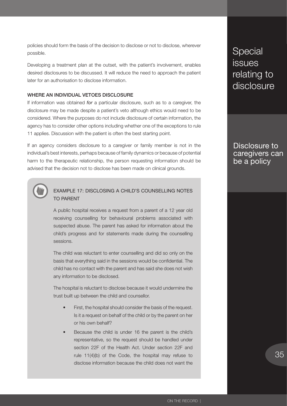<span id="page-36-0"></span>policies should form the basis of the decision to disclose or not to disclose, wherever possible.

Developing a treatment plan at the outset, with the patient's involvement, enables desired disclosures to be discussed. It will reduce the need to approach the patient later for an authorisation to disclose information.

## Where an individual vetoes disclosure

If information was obtained *for* a particular disclosure, such as to a caregiver, the disclosure may be made despite a patient's veto although ethics would need to be considered. Where the purposes do not include disclosure of certain information, the agency has to consider other options including whether one of the exceptions to rule 11 applies. Discussion with the patient is often the best starting point.

If an agency considers disclosure to a caregiver or family member is not in the individual's best interests, perhaps because of family dynamics or because of potential harm to the therapeutic relationship, the person requesting information should be advised that the decision not to disclose has been made on clinical grounds.



## EXAMPLE 17: DISCLOSING A CHILD'S COUNSELLING NOTES TO PARENT

A public hospital receives a request from a parent of a 12 year old receiving counselling for behavioural problems associated with suspected abuse. The parent has asked for information about the child's progress and for statements made during the counselling sessions.

The child was reluctant to enter counselling and did so only on the basis that everything said in the sessions would be confidential. The child has no contact with the parent and has said she does not wish any information to be disclosed.

The hospital is reluctant to disclose because it would undermine the trust built up between the child and counsellor.

- First, the hospital should consider the basis of the request. Is it a request on behalf of the child or by the parent on her or his own behalf?
- Because the child is under 16 the parent is the child's representative, so the request should be handled under section 22F of the Health Act. Under section 22F and rule 11(4)(b) of the Code, the hospital may refuse to disclose information because the child does not want the

Special<br>issues relating to disclosure **Special** issues

## Disclosure to caregivers can be a policy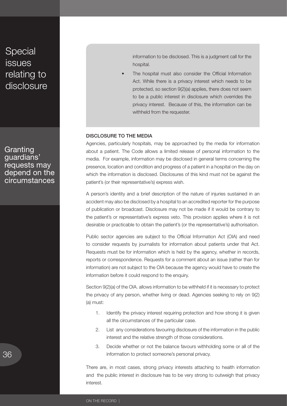## <span id="page-37-0"></span>Special<br>issues relating to disclosure **Special** issues

Granting guardians' requests may depend on the circumstances information to be disclosed. This is a judgment call for the hospital.

The hospital must also consider the Official Information Act. While there is a privacy interest which needs to be protected, so section 9(2)(a) applies, there does not seem to be a public interest in disclosure which overrides the privacy interest. Because of this, the information can be withheld from the requester.

## DISCLOSURE TO THE MEDIA

Agencies, particularly hospitals, may be approached by the media for information about a patient. The Code allows a limited release of personal information to the media. For example, information may be disclosed in general terms concerning the presence, location and condition and progress of a patient in a hospital on the day on which the information is disclosed. Disclosures of this kind must not be against the patient's (or their representative's) express wish.

A person's identity and a brief description of the nature of injuries sustained in an accident may also be disclosed by a hospital to an accredited reporter for the purpose of publication or broadcast. Disclosure may not be made if it would be contrary to the patient's or representative's express veto. This provision applies where it is not desirable or practicable to obtain the patient's (or the representative's) authorisation.

Public sector agencies are subject to the Official Information Act (OIA) and need to consider requests by journalists for information about patients under that Act. Requests must be for information which is held by the agency, whether in records, reports or correspondence. Requests for a comment about an issue (rather than for information) are not subject to the OIA because the agency would have to create the information before it could respond to the enquiry.

Section 9(2)(a) of the OIA. allows information to be withheld if it is necessary to protect the privacy of any person, whether living or dead. Agencies seeking to rely on 9(2) (a) must:

- 1. Identify the privacy interest requiring protection and how strong it is given all the circumstances of the particular case.
- 2. List any considerations favouring disclosure of the information in the public interest and the relative strength of those considerations.
- 3. Decide whether or not the balance favours withholding some or all of the information to protect someone's personal privacy.

There are, in most cases, strong privacy interests attaching to health information and the public interest in disclosure has to be very strong to outweigh that privacy interest.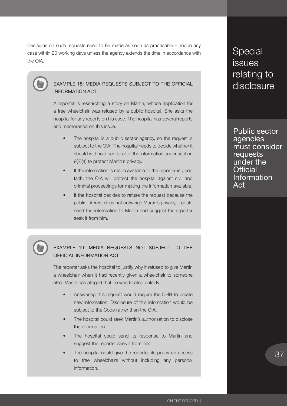Decisions on such requests need to be made as soon as practicable – and in any case within 20 working days unless the agency extends the time in accordance with the OIA.



## EXAMPLE 18: MEDIA REQUESTS SUBJECT TO THE OFFICIAL INFORMATION ACT

A reporter is researching a story on Martin, whose application for a free wheelchair was refused by a public hospital. She asks the hospital for any reports on his case. The hospital has several reports and memoranda on this issue.

- The hospital is a public sector agency, so the request is subject to the OIA. The hospital needs to decide whether it should withhold part or all of the information under section 9(2)(a) to protect Martin's privacy.
- If the information is made available to the reporter in good faith, the OIA will protect the hospital against civil and criminal proceedings for making the information available.
- If the hospital decides to refuse the request because the public interest does not outweigh Martin's privacy, it could send the information to Martin and suggest the reporter seek it from him.



## EXAMPLE 19: MEDIA REQUESTS NOT SUBJECT TO THE OFFICIAL INFORMATION ACT

The reporter asks the hospital to justify why it refused to give Martin a wheelchair when it had recently given a wheelchair to someone else. Martin has alleged that he was treated unfairly.

- Answering this request would require the DHB to create new information. Disclosure of this information would be subject to the Code rather than the OIA.
- The hospital could seek Martin's authorisation to disclose the information.
- The hospital could send its response to Martin and suggest the reporter seek it from him.
- The hospital could give the reporter its policy on access to free wheelchairs without including any personal information.

Special<br>issues relating to disclosure **Special** issues

Public sector agencies must consider requests under the **Official** Information Act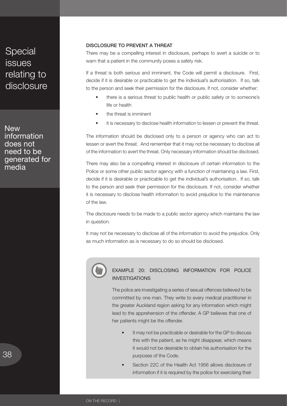<span id="page-39-0"></span>Special<br>issues relating to disclosure **Special** issues

**New** information does not need to be generated for media

## Disclosure to prevent a threat

There may be a compelling interest in disclosure, perhaps to avert a suicide or to warn that a patient in the community poses a safety risk.

If a threat is both serious and imminent, the Code will permit a disclosure. First, decide if it is desirable or practicable to get the individual's authorisation. If so, talk to the person and seek their permission for the disclosure. If not, consider whether:

- there is a serious threat to public health or public safety or to someone's life or health
- the threat is imminent
- it is necessary to disclose health information to lessen or prevent the threat.

The information should be disclosed only to a person or agency who can act to lessen or avert the threat. And remember that it may not be necessary to disclose all of the information to avert the threat. Only necessary information should be disclosed.

There may also be a compelling interest in disclosure of certain information to the Police or some other public sector agency with a function of maintaining a law. First, decide if it is desirable or practicable to get the individual's authorisation. If so, talk to the person and seek their permission for the disclosure. If not, consider whether it is necessary to disclose health information to avoid prejudice to the maintenance of the law.

The disclosure needs to be made to a public sector agency which maintains the law in question.

It may not be necessary to disclose all of the information to avoid the prejudice. Only as much information as is necessary to do so should be disclosed.



## EXAMPLE 20: DISCLOSING INFORMATION FOR POLICE INVESTIGATIONS

The police are investigating a series of sexual offences believed to be committed by one man. They write to every medical practitioner in the greater Auckland region asking for any information which might lead to the apprehension of the offender. A GP believes that one of her patients might be the offender.

- It may not be practicable or desirable for the GP to discuss this with the patient, as he might disappear, which means it would not be desirable to obtain his authorisation for the purposes of the Code.
- Section 22C of the Health Act 1956 allows disclosure of information if it is required by the police for exercising their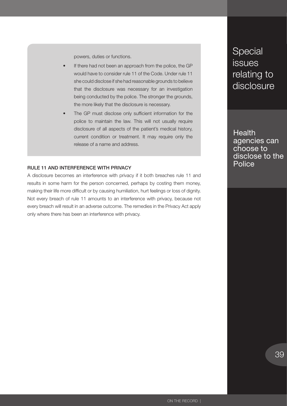powers, duties or functions.

- <span id="page-40-0"></span>If there had not been an approach from the police, the GP would have to consider rule 11 of the Code. Under rule 11 she could disclose if she had reasonable grounds to believe that the disclosure was necessary for an investigation being conducted by the police. The stronger the grounds, the more likely that the disclosure is necessary.
- The GP must disclose only sufficient information for the police to maintain the law. This will not usually require disclosure of all aspects of the patient's medical history, current condition or treatment. It may require only the release of a name and address.

## Rule 11 and interference with privacy

A disclosure becomes an interference with privacy if it both breaches rule 11 and results in some harm for the person concerned, perhaps by costing them money, making their life more difficult or by causing humiliation, hurt feelings or loss of dignity. Not every breach of rule 11 amounts to an interference with privacy, because not every breach will result in an adverse outcome. The remedies in the Privacy Act apply only where there has been an interference with privacy.

Special<br>issues relating to disclosure **Special** issues

Health agencies can choose to disclose to the **Police**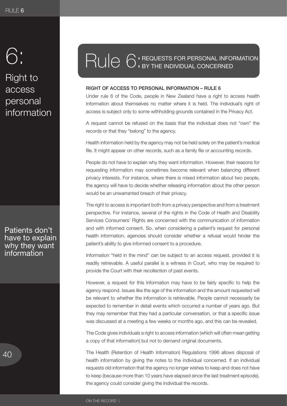## <span id="page-41-0"></span>6: 6:

Right to anness<br>Healtha marenta<br>narennal Right to access personal information

Patients don't have to explain why they want information

# RUIC 6: REQUESTS FOR PERSONAL INFO

## Right of access to personal information – Rule 6

Under rule 6 of the Code, people in New Zealand have a right to access health information about themselves no matter where it is held. The individual's right of access is subject only to some withholding grounds contained in the Privacy Act.

A request cannot be refused on the basis that the individual does not "own" the records or that they "belong" to the agency.

Health information held by the agency may not be held solely on the patient's medical file. It might appear on other records, such as a family file or accounting records.

People do not have to explain why they want information. However, their reasons for requesting information may sometimes become relevant when balancing different privacy interests. For instance, where there is mixed information about two people, the agency will have to decide whether releasing information about the other person would be an unwarranted breach of their privacy.

The right to access is important both from a privacy perspective and from a treatment perspective. For instance, several of the rights in the Code of Health and Disability Services Consumers' Rights are concerned with the communication of information and with informed consent. So, when considering a patient's request for personal health information, agencies should consider whether a refusal would hinder the patient's ability to give informed consent to a procedure.

Information "held in the mind" can be subject to an access request, provided it is readily retrievable. A useful parallel is a witness in Court, who may be required to provide the Court with their recollection of past events.

However, a request for this information may have to be fairly specific to help the agency respond. Issues like the age of the information and the amount requested will be relevant to whether the information is retrievable. People cannot necessarily be expected to remember in detail events which occurred a number of years ago. But they may remember that they had a particular conversation, or that a specific issue was discussed at a meeting a few weeks or months ago, and this can be revealed.

The Code gives individuals a right to access information (which will often mean getting a copy of that information) but not to demand original documents.

The Health (Retention of Health Information) Regulations 1996 allows disposal of health information by giving the notes to the individual concerned. If an individual requests old information that the agency no longer wishes to keep and does not have to keep (because more than 10 years have elapsed since the last treatment episode), the agency could consider giving the individual the records.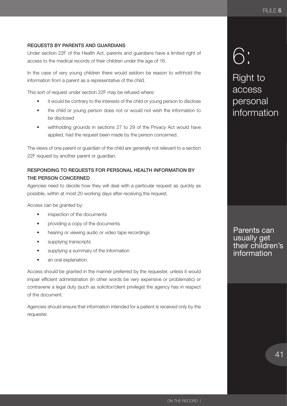## <span id="page-42-0"></span>Requests by parents and guardians

Under section 22F of the Health Act, parents and guardians have a limited right of access to the medical records of their children under the age of 16.

In the case of very young children there would seldom be reason to withhold the information from a parent as a representative of the child.

This sort of request under section 22F may be refused where:

- it would be contrary to the interests of the child or young person to disclose
- the child or young person does not or would not wish the information to be disclosed
- withholding grounds in sections 27 to 29 of the Privacy Act would have applied, had the request been made by the person concerned.

The views of one parent or guardian of the child are generally not relevant to a section 22F request by another parent or guardian.

## Responding to requests for personal health information by the person concerned

Agencies need to decide how they will deal with a particular request as quickly as possible, within at most 20 working days after receiving the request.

Access can be granted by:

- inspection of the documents
- providing a copy of the documents
- hearing or viewing audio or video tape recordings
- supplying transcripts
- supplying a summary of the information
- an oral explanation.

Access should be granted in the manner preferred by the requester, unless it would impair efficient administration (in other words be very expensive or problematic) or contravene a legal duty (such as solicitor/client privilege) the agency has in respect of the document.

Agencies should ensure that information intended for a patient is received only by the requester.

## 6: 6:

Right to AMONTES<br>AMMARS nerser<br>nersonal Right to access personal information

Parents can usually get their children's information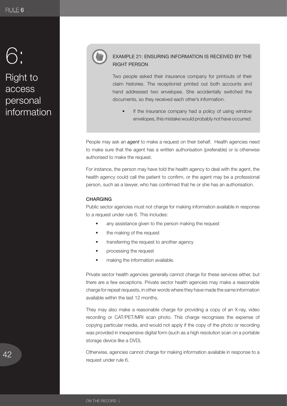## <span id="page-43-0"></span>6: 6:

## Right to access personal information



## EXAMPLE 21: ENSURING INFORMATION IS RECEIVED BY THE RIGHT PERSON

Two people asked their insurance company for printouts of their claim histories. The receptionist printed out both accounts and hand addressed two envelopes. She accidentally switched the documents, so they received each other's information.

If the insurance company had a policy of using window envelopes, this mistake would probably not have occurred.

People may ask an *agent* to make a request on their behalf. Health agencies need to make sure that the agent has a written authorisation (preferable) or is otherwise authorised to make the request.

For instance, the person may have told the health agency to deal with the agent, the health agency could call the patient to confirm, or the agent may be a professional person, such as a lawyer, who has confirmed that he or she has an authorisation.

## **CHARGING**

Public sector agencies must not charge for making information available in response to a request under rule 6. This includes:

- any assistance given to the person making the request
- the making of the request
- transferring the request to another agency
- processing the request
- making the information available.

Private sector health agencies generally cannot charge for these services either, but there are a few exceptions. Private sector health agencies may make a reasonable charge for repeat requests, in other words where they have made the same information available within the last 12 months.

They may also make a reasonable charge for providing a copy of an X-ray, video recording or CAT/PET/MRI scan photo. This charge recognises the expense of copying particular media, and would not apply if the copy of the photo or recording was provided in inexpensive digital form (such as a high resolution scan on a portable storage device like a DVD).

Otherwise, agencies cannot charge for making information available in response to a request under rule 6.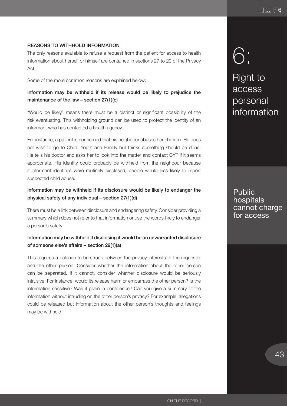## <span id="page-44-0"></span>Reasons to withhold information

The only reasons available to refuse a request from the patient for access to health information about herself or himself are contained in sections 27 to 29 of the Privacy Act.

Some of the more common reasons are explained below:

## Information may be withheld if its release would be likely to prejudice the maintenance of the law – section 27(1)(c)

"Would be likely" means there must be a distinct or significant possibility of the risk eventuating. This withholding ground can be used to protect the identity of an informant who has contacted a health agency.

For instance, a patient is concerned that his neighbour abuses her children. He does not wish to go to Child, Youth and Family but thinks something should be done. He tells his doctor and asks her to look into the matter and contact CYF if it seems appropriate. His identity could probably be withheld from the neighbour because if informant identities were routinely disclosed, people would less likely to report suspected child abuse.

## Information may be withheld if its disclosure would be likely to endanger the physical safety of any individual – section 27(1)(d)

There must be a link between disclosure and endangering safety. Consider providing a summary which does not refer to that information or use the words likely to endanger a person's safety.

## Information may be withheld if disclosing it would be an unwarranted disclosure of someone else's affairs – section 29(1)(a)

This requires a balance to be struck between the privacy interests of the requester and the other person. Consider whether the information about the other person can be separated. If it cannot, consider whether disclosure would be seriously intrusive. For instance, would its release harm or embarrass the other person? Is the information sensitive? Was it given in confidence? Can you give a summary of the information without intruding on the other person's privacy? For example, allegations could be released but information about the other person's thoughts and feelings may be withheld.

## 6: 6:

Right to access personal **information** 

Public hospitals cannot charge for access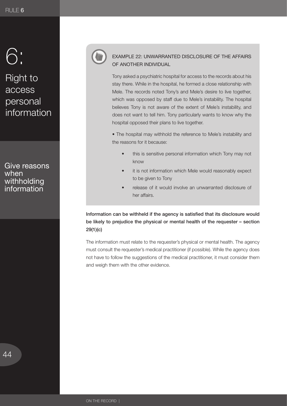## 6: 6:

## $Richt$  to Health ussesse<br>narennal Right to access personal information

Give reasons when withholding information



## EXAMPLE 22: UNWARRANTED DISCLOSURE OF THE AFFAIRS OF ANOTHER INDIVIDUAL

Tony asked a psychiatric hospital for access to the records about his stay there. While in the hospital, he formed a close relationship with Mele. The records noted Tony's and Mele's desire to live together, which was opposed by staff due to Mele's instability. The hospital believes Tony is not aware of the extent of Mele's instability, and does not want to tell him. Tony particularly wants to know why the hospital opposed their plans to live together.

• The hospital may withhold the reference to Mele's instability and the reasons for it because:

- this is sensitive personal information which Tony may not know
- it is not information which Mele would reasonably expect to be given to Tony
- release of it would involve an unwarranted disclosure of her affairs.

Information can be withheld if the agency is satisfied that its disclosure would be likely to prejudice the physical or mental health of the requester – section 29(1)(c)

The information must relate to the requester's physical or mental health. The agency must consult the requester's medical practitioner (if possible). While the agency does not have to follow the suggestions of the medical practitioner, it must consider them and weigh them with the other evidence.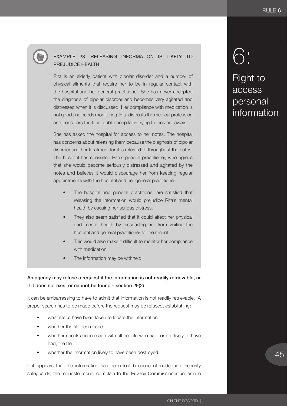

## EXAMPLE 23: RELEASING INFORMATION IS LIKELY TO PREJUDICE HEALTH

Rita is an elderly patient with bipolar disorder and a number of physical ailments that require her to be in regular contact with the hospital and her general practitioner. She has never accepted the diagnosis of bipolar disorder and becomes very agitated and distressed when it is discussed. Her compliance with medication is not good and needs monitoring. Rita distrusts the medical profession and considers the local public hospital is trying to lock her away.

She has asked the hospital for access to her notes. The hospital has concerns about releasing them because the diagnosis of bipolar disorder and her treatment for it is referred to throughout the notes. The hospital has consulted Rita's general practitioner, who agrees that she would become seriously distressed and agitated by the notes and believes it would discourage her from keeping regular appointments with the hospital and her general practitioner.

- The hospital and general practitioner are satisfied that releasing the information would prejudice Rita's mental health by causing her serious distress.
- They also seem satisfied that it could affect her physical and mental health by dissuading her from visiting the hospital and general practitioner for treatment.
- This would also make it difficult to monitor her compliance with medication.
- The information may be withheld.

## An agency may refuse a request if the information is not readily retrievable, or if it does not exist or cannot be found – section 29(2)

It can be embarrassing to have to admit that information is not readily retrievable. A proper search has to be made before the request may be refused, establishing:

- what steps have been taken to locate the information
- whether the file been traced
- whether checks been made with all people who had, or are likely to have had, the file
- whether the information likely to have been destroyed.

If it appears that the information has been lost because of inadequate security safeguards, the requester could complain to the Privacy Commissioner under rule

## 6: 6:

Right to annas<br>Healtha aissess<br>nareonal Right to access personal information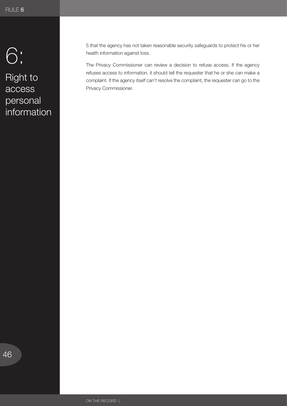# 1-4: 6:

Right to access personal information 5 that the agency has not taken reasonable security safeguards to protect his or her health information against loss.

The Privacy Commissioner can review a decision to refuse access. If the agency refuses access to information, it should tell the requester that he or she can make a complaint. If the agency itself can't resolve the complaint, the requester can go to the Privacy Commissioner.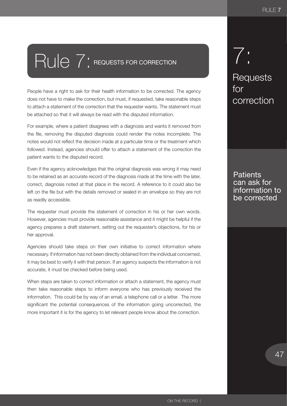# <span id="page-48-0"></span>Rule 7: REQUESTS FOR CORRECTION

People have a right to ask for their health information to be corrected. The agency does not have to make the correction, but must, if requested, take reasonable steps to attach a statement of the correction that the requester wants. The statement must be attached so that it will always be read with the disputed information.

For example, where a patient disagrees with a diagnosis and wants it removed from the file, removing the disputed diagnosis could render the notes incomplete. The notes would not reflect the decision made at a particular time or the treatment which followed. Instead, agencies should offer to attach a statement of the correction the patient wants to the disputed record.

Even if the agency acknowledges that the original diagnosis was wrong it may need to be retained as an accurate record of the diagnosis made at the time with the later, correct, diagnosis noted at that place in the record. A reference to it could also be left on the file but with the details removed or sealed in an envelope so they are not as readily accessible.

The requester must provide the statement of correction in his or her own words. However, agencies must provide reasonable assistance and it might be helpful if the agency prepares a draft statement, setting out the requester's objections, for his or her approval.

Agencies should take steps on their own initiative to correct information where necessary. If information has not been directly obtained from the individual concerned, it may be best to verify it with that person. If an agency suspects the information is not accurate, it must be checked before being used.

When steps are taken to correct information or attach a statement, the agency must then take reasonable steps to inform everyone who has previously received the information. This could be by way of an email, a telephone call or a letter. The more significant the potential consequences of the information going uncorrected, the more important it is for the agency to let relevant people know about the correction.

## $7:$ 7:

Requests for  $\overline{\phantom{a}}$ correction

## **Patients** can ask for information to be corrected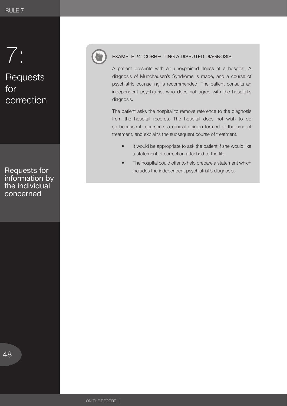# 1-4: 7:

Requests for  $\left| \begin{array}{ccc} \cdot & \cdot \end{array} \right|$ correction

Requests for information by the individual concerned



## EXAMPLE 24: CORRECTING A DISPUTED DIAGNOSIS

A patient presents with an unexplained illness at a hospital. A diagnosis of Munchausen's Syndrome is made, and a course of psychiatric counselling is recommended. The patient consults an independent psychiatrist who does not agree with the hospital's diagnosis.

The patient asks the hospital to remove reference to the diagnosis from the hospital records. The hospital does not wish to do so because it represents a clinical opinion formed at the time of treatment, and explains the subsequent course of treatment.

- It would be appropriate to ask the patient if she would like a statement of correction attached to the file.
- The hospital could offer to help prepare a statement which includes the independent psychiatrist's diagnosis.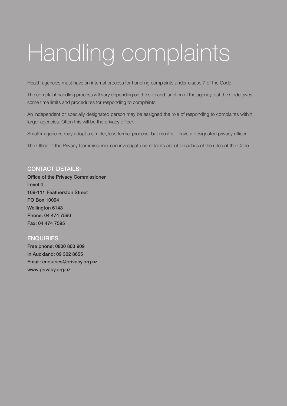# <span id="page-50-0"></span>Handling complaints

Health agencies must have an internal process for handling complaints under clause 7 of the Code.

The complaint handling process will vary depending on the size and function of the agency, but the Code gives some time limits and procedures for responding to complaints.

An independent or specially designated person may be assigned the role of responding to complaints within larger agencies. Often this will be the privacy officer.

Smaller agencies may adopt a simpler, less formal process, but must still have a designated privacy officer.

The Office of the Privacy Commissioner can investigate complaints about breaches of the rules of the Code.

## **CONTACT DETAILS:**

Office of the Privacy Commissioner Level 4 109-111 Featherston Street PO Box 10094 Wellington 6143 Phone: 04 474 7590 Fax: 04 474 7595

## **ENQUIRIES**

Free phone: 0800 803 909 In Auckland: 09 302 8655 Email: enquiries@privacy.org.nz www.privacy.org.nz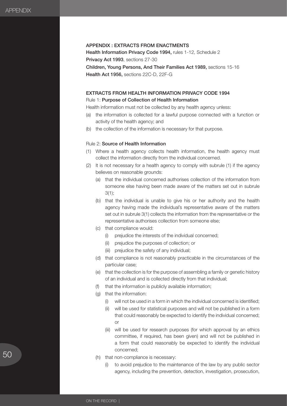## <span id="page-51-0"></span>APPENDIX : EXTRACTS FROM ENACTMENTS

Health Information Privacy Code 1994, rules 1-12, Schedule 2 Privacy Act 1993, sections 27-30 Children, Young Persons, And Their Families Act 1989, sections 15-16 Health Act 1956, sections 22C-D, 22F-G

## EXTRACTS FROM HEALTH INFORMATION PRIVACY CODE 1994 Rule 1: Purpose of Collection of Health Information

Health information must not be collected by any health agency unless:

- (a) the information is collected for a lawful purpose connected with a function or activity of the health agency; and
- (b) the collection of the information is necessary for that purpose.

## Rule 2: Source of Health Information

- (1) Where a health agency collects health information, the health agency must collect the information directly from the individual concerned.
- (2) It is not necessary for a health agency to comply with subrule (1) if the agency believes on reasonable grounds:
	- (a) that the individual concerned authorises collection of the information from someone else having been made aware of the matters set out in subrule 3(1);
	- (b) that the individual is unable to give his or her authority and the health agency having made the individual's representative aware of the matters set out in subrule 3(1) collects the information from the representative or the representative authorises collection from someone else;
	- (c) that compliance would:
		- (i) prejudice the interests of the individual concerned;
		- (ii) prejudice the purposes of collection; or
		- (iii) prejudice the safety of any individual;
	- (d) that compliance is not reasonably practicable in the circumstances of the particular case;
	- (e) that the collection is for the purpose of assembling a family or genetic history of an individual and is collected directly from that individual;
	- (f) that the information is publicly available information;
	- (g) that the information:
		- (i) will not be used in a form in which the individual concerned is identified;
		- (ii) will be used for statistical purposes and will not be published in a form that could reasonably be expected to identify the individual concerned; or
		- (iii) will be used for research purposes (for which approval by an ethics committee, if required, has been given) and will not be published in a form that could reasonably be expected to identify the individual concerned;
	- (h) that non-compliance is necessary:
		- (i) to avoid prejudice to the maintenance of the law by any public sector agency, including the prevention, detection, investigation, prosecution,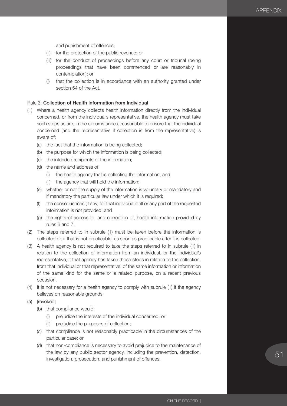and punishment of offences;

- (ii) for the protection of the public revenue; or
- (iii) for the conduct of proceedings before any court or tribunal (being proceedings that have been commenced or are reasonably in contemplation); or
- (i) that the collection is in accordance with an authority granted under section 54 of the Act.

## Rule 3: Collection of Health Information from Individual

- (1) Where a health agency collects health information directly from the individual concerned, or from the individual's representative, the health agency must take such steps as are, in the circumstances, reasonable to ensure that the individual concerned (and the representative if collection is from the representative) is aware of:
	- (a) the fact that the information is being collected;
	- (b) the purpose for which the information is being collected;
	- (c) the intended recipients of the information;
	- (d) the name and address of:
		- (i) the health agency that is collecting the information; and
		- (ii) the agency that will hold the information;
	- (e) whether or not the supply of the information is voluntary or mandatory and if mandatory the particular law under which it is required;
	- (f) the consequences (if any) for that individual if all or any part of the requested information is not provided; and
	- (g) the rights of access to, and correction of, health information provided by rules 6 and 7.
- (2) The steps referred to in subrule (1) must be taken before the information is collected or, if that is not practicable, as soon as practicable after it is collected.
- (3) A health agency is not required to take the steps referred to in subrule (1) in relation to the collection of information from an individual, or the individual's representative, if that agency has taken those steps in relation to the collection, from that individual or that representative, of the same information or information of the same kind for the same or a related purpose, on a recent previous occasion.
- (4) It is not necessary for a health agency to comply with subrule (1) if the agency believes on reasonable grounds:
- (a) [revoked]
	- (b) that compliance would:
		- (i) prejudice the interests of the individual concerned; or
		- (ii) prejudice the purposes of collection;
	- (c) that compliance is not reasonably practicable in the circumstances of the particular case; or
	- (d) that non-compliance is necessary to avoid prejudice to the maintenance of the law by any public sector agency, including the prevention, detection, investigation, prosecution, and punishment of offences.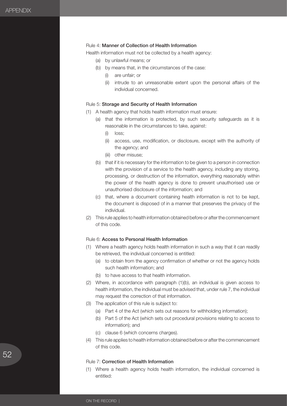#### Rule 4: Manner of Collection of Health Information

Health information must not be collected by a health agency:

- (a) by unlawful means; or
- (b) by means that, in the circumstances of the case:
	- (i) are unfair; or
	- (ii) intrude to an unreasonable extent upon the personal affairs of the individual concerned.

## Rule 5: Storage and Security of Health Information

- (1) A health agency that holds health information must ensure:
	- (a) that the information is protected, by such security safeguards as it is reasonable in the circumstances to take, against:
		- (i) loss;
		- (ii) access, use, modification, or disclosure, except with the authority of the agency; and
		- (iii) other misuse;
	- (b) that if it is necessary for the information to be given to a person in connection with the provision of a service to the health agency, including any storing, processing, or destruction of the information, everything reasonably within the power of the health agency is done to prevent unauthorised use or unauthorised disclosure of the information; and
	- (c) that, where a document containing health information is not to be kept, the document is disposed of in a manner that preserves the privacy of the individual.
- (2) This rule applies to health information obtained before or after the commencement of this code.

#### Rule 6: Access to Personal Health Information

- (1) Where a health agency holds health information in such a way that it can readily be retrieved, the individual concerned is entitled:
	- (a) to obtain from the agency confirmation of whether or not the agency holds such health information; and
	- (b) to have access to that health information.
- (2) Where, in accordance with paragraph (1)(b), an individual is given access to health information, the individual must be advised that, under rule 7, the individual may request the correction of that information.
- (3) The application of this rule is subject to:
	- (a) Part 4 of the Act (which sets out reasons for withholding information);
	- (b) Part 5 of the Act (which sets out procedural provisions relating to access to information); and
	- (c) clause 6 (which concerns charges).
- (4) This rule applies to health information obtained before or after the commencement of this code.

#### Rule 7: Correction of Health Information

(1) Where a health agency holds health information, the individual concerned is entitled: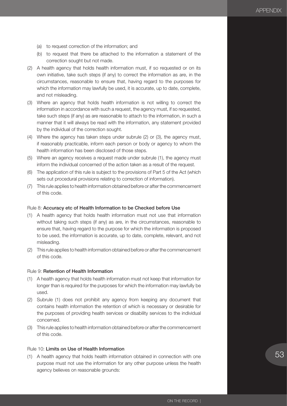- (a) to request correction of the information; and
- (b) to request that there be attached to the information a statement of the correction sought but not made.
- (2) A health agency that holds health information must, if so requested or on its own initiative, take such steps (if any) to correct the information as are, in the circumstances, reasonable to ensure that, having regard to the purposes for which the information may lawfully be used, it is accurate, up to date, complete, and not misleading.
- (3) Where an agency that holds health information is not willing to correct the information in accordance with such a request, the agency must, if so requested, take such steps (if any) as are reasonable to attach to the information, in such a manner that it will always be read with the information, any statement provided by the individual of the correction sought.
- (4) Where the agency has taken steps under subrule (2) or (3), the agency must, if reasonably practicable, inform each person or body or agency to whom the health information has been disclosed of those steps.
- (5) Where an agency receives a request made under subrule (1), the agency must inform the individual concerned of the action taken as a result of the request.
- (6) The application of this rule is subject to the provisions of Part 5 of the Act (which sets out procedural provisions relating to correction of information).
- (7) This rule applies to health information obtained before or after the commencement of this code.

#### Rule 8: Accuracy etc of Health Information to be Checked before Use

- (1) A health agency that holds health information must not use that information without taking such steps (if any) as are, in the circumstances, reasonable to ensure that, having regard to the purpose for which the information is proposed to be used, the information is accurate, up to date, complete, relevant, and not misleading.
- (2) This rule applies to health information obtained before or after the commencement of this code.

## Rule 9: Retention of Health Information

- (1) A health agency that holds health information must not keep that information for longer than is required for the purposes for which the information may lawfully be used.
- (2) Subrule (1) does not prohibit any agency from keeping any document that contains health information the retention of which is necessary or desirable for the purposes of providing health services or disability services to the individual concerned.
- (3) This rule applies to health information obtained before or after the commencement of this code.

#### Rule 10: Limits on Use of Health Information

(1) A health agency that holds health information obtained in connection with one purpose must not use the information for any other purpose unless the health agency believes on reasonable grounds: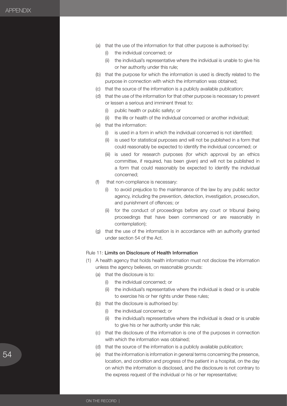- (a) that the use of the information for that other purpose is authorised by:
	- (i) the individual concerned; or
	- (ii) the individual's representative where the individual is unable to give his or her authority under this rule;
- (b) that the purpose for which the information is used is directly related to the purpose in connection with which the information was obtained;
- (c) that the source of the information is a publicly available publication;
- (d) that the use of the information for that other purpose is necessary to prevent or lessen a serious and imminent threat to:
	- (i) public health or public safety; or
	- (ii) the life or health of the individual concerned or another individual;
- (e) that the information:
	- (i) is used in a form in which the individual concerned is not identified;
	- (ii) is used for statistical purposes and will not be published in a form that could reasonably be expected to identify the individual concerned; or
	- (iii) is used for research purposes (for which approval by an ethics committee, if required, has been given) and will not be published in a form that could reasonably be expected to identify the individual concerned;
- (f) that non-compliance is necessary:
	- (i) to avoid prejudice to the maintenance of the law by any public sector agency, including the prevention, detection, investigation, prosecution, and punishment of offences; or
	- (ii) for the conduct of proceedings before any court or tribunal (being proceedings that have been commenced or are reasonably in contemplation);
- (g) that the use of the information is in accordance with an authority granted under section 54 of the Act.

## Rule 11: Limits on Disclosure of Health Information

- (1) A health agency that holds health information must not disclose the information unless the agency believes, on reasonable grounds:
	- (a) that the disclosure is to:
		- (i) the individual concerned; or
		- (ii) the individual's representative where the individual is dead or is unable to exercise his or her rights under these rules;
	- (b) that the disclosure is authorised by:
		- (i) the individual concerned; or
		- (ii) the individual's representative where the individual is dead or is unable to give his or her authority under this rule;
	- (c) that the disclosure of the information is one of the purposes in connection with which the information was obtained;
	- (d) that the source of the information is a publicly available publication;
	- (e) that the information is information in general terms concerning the presence, location, and condition and progress of the patient in a hospital, on the day on which the information is disclosed, and the disclosure is not contrary to the express request of the individual or his or her representative;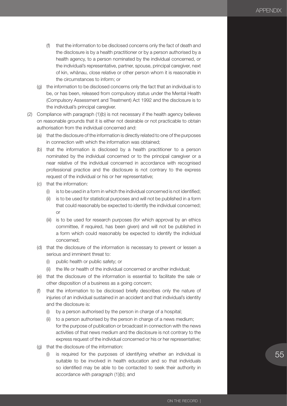- (f) that the information to be disclosed concerns only the fact of death and the disclosure is by a health practitioner or by a person authorised by a health agency, to a person nominated by the individual concerned, or the individual's representative, partner, spouse, principal caregiver, next of kin, whānau, close relative or other person whom it is reasonable in the circumstances to inform; or
- (g) the information to be disclosed concerns only the fact that an individual is to be, or has been, released from compulsory status under the Mental Health (Compulsory Assessment and Treatment) Act 1992 and the disclosure is to the individual's principal caregiver.
- (2) Compliance with paragraph (1)(b) is not necessary if the health agency believes on reasonable grounds that it is either not desirable or not practicable to obtain authorisation from the individual concerned and:
	- (a) that the disclosure of the information is directly related to one of the purposes in connection with which the information was obtained;
	- (b) that the information is disclosed by a health practitioner to a person nominated by the individual concerned or to the principal caregiver or a near relative of the individual concerned in accordance with recognised professional practice and the disclosure is not contrary to the express request of the individual or his or her representative;
	- (c) that the information:
		- (i) is to be used in a form in which the individual concerned is not identified;
		- (ii) is to be used for statistical purposes and will not be published in a form that could reasonably be expected to identify the individual concerned; or
		- (iii) is to be used for research purposes (for which approval by an ethics committee, if required, has been given) and will not be published in a form which could reasonably be expected to identify the individual concerned;
	- (d) that the disclosure of the information is necessary to prevent or lessen a serious and imminent threat to:
		- (i) public health or public safety; or
		- (ii) the life or health of the individual concerned or another individual;
	- (e) that the disclosure of the information is essential to facilitate the sale or other disposition of a business as a going concern;
	- (f) that the information to be disclosed briefly describes only the nature of injuries of an individual sustained in an accident and that individual's identity and the disclosure is:
		- (i) by a person authorised by the person in charge of a hospital;
		- (ii) to a person authorised by the person in charge of a news medium; for the purpose of publication or broadcast in connection with the news activities of that news medium and the disclosure is not contrary to the express request of the individual concerned or his or her representative;
	- (g) that the disclosure of the information:
		- (i) is required for the purposes of identifying whether an individual is suitable to be involved in health education and so that individuals so identified may be able to be contacted to seek their authority in accordance with paragraph (1)(b); and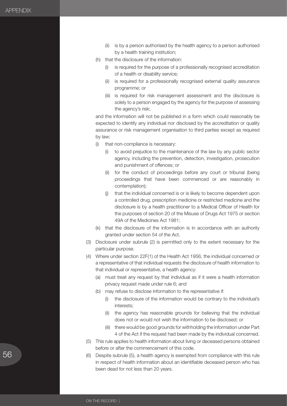- (ii) is by a person authorised by the health agency to a person authorised by a health training institution;
- (h) that the disclosure of the information:
	- (i) is required for the purpose of a professionally recognised accreditation of a health or disability service;
	- (ii) is required for a professionally recognised external quality assurance programme; or
	- (iii) is required for risk management assessment and the disclosure is solely to a person engaged by the agency for the purpose of assessing the agency's risk;

and the information will not be published in a form which could reasonably be expected to identify any individual nor disclosed by the accreditation or quality assurance or risk management organisation to third parties except as required by law;

- (i) that non-compliance is necessary:
	- (i) to avoid prejudice to the maintenance of the law by any public sector agency, including the prevention, detection, investigation, prosecution and punishment of offences; or
	- (ii) for the conduct of proceedings before any court or tribunal (being proceedings that have been commenced or are reasonably in contemplation);
	- (j) that the individual concerned is or is likely to become dependent upon a controlled drug, prescription medicine or restricted medicine and the disclosure is by a health practitioner to a Medical Officer of Health for the purposes of section 20 of the Misuse of Drugs Act 1975 or section 49A of the Medicines Act 1981;
- (k) that the disclosure of the information is in accordance with an authority granted under section 54 of the Act.
- (3) Disclosure under subrule (2) is permitted only to the extent necessary for the particular purpose.
- (4) Where under section 22F(1) of the Health Act 1956, the individual concerned or a representative of that individual requests the disclosure of health information to that individual or representative, a health agency:
	- (a) must treat any request by that individual as if it were a health information privacy request made under rule 6; and
	- (b) may refuse to disclose information to the representative if:
		- (i) the disclosure of the information would be contrary to the individual's interests;
		- (ii) the agency has reasonable grounds for believing that the individual does not or would not wish the information to be disclosed; or
		- (iii) there would be good grounds for withholding the information under Part 4 of the Act if the request had been made by the individual concerned.
- (5) This rule applies to health information about living or deceased persons obtained before or after the commencement of this code.
- (6) Despite subrule (5), a health agency is exempted from compliance with this rule in respect of health information about an identifiable deceased person who has been dead for not less than 20 years.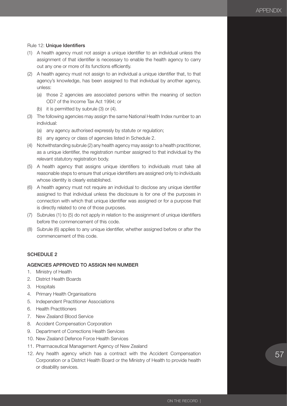## Rule 12: Unique Identifiers

- (1) A health agency must not assign a unique identifier to an individual unless the assignment of that identifier is necessary to enable the health agency to carry out any one or more of its functions efficiently.
- (2) A health agency must not assign to an individual a unique identifier that, to that agency's knowledge, has been assigned to that individual by another agency, unless:
	- (a) those 2 agencies are associated persons within the meaning of section OD7 of the Income Tax Act 1994; or
	- (b) it is permitted by subrule (3) or (4).
- (3) The following agencies may assign the same National Health Index number to an individual:
	- (a) any agency authorised expressly by statute or regulation;
	- (b) any agency or class of agencies listed in Schedule 2.
- (4) Notwithstanding subrule (2) any health agency may assign to a health practitioner, as a unique identifier, the registration number assigned to that individual by the relevant statutory registration body.
- (5) A health agency that assigns unique identifiers to individuals must take all reasonable steps to ensure that unique identifiers are assigned only to individuals whose identity is clearly established.
- (6) A health agency must not require an individual to disclose any unique identifier assigned to that individual unless the disclosure is for one of the purposes in connection with which that unique identifier was assigned or for a purpose that is directly related to one of those purposes.
- (7) Subrules (1) to (5) do not apply in relation to the assignment of unique identifiers before the commencement of this code.
- (8) Subrule (6) applies to any unique identifier, whether assigned before or after the commencement of this code.

### SCHEDULE 2

## AGENCIES APPROVED TO ASSIGN NHI NUMBER

- 1. Ministry of Health
- 2. District Health Boards
- 3. Hospitals
- 4. Primary Health Organisations
- 5. Independent Practitioner Associations
- 6. Health Practitioners
- 7. New Zealand Blood Service
- 8. Accident Compensation Corporation
- 9. Department of Corrections Health Services
- 10. New Zealand Defence Force Health Services
- 11. Pharmaceutical Management Agency of New Zealand
- 12. Any health agency which has a contract with the Accident Compensation Corporation or a District Health Board or the Ministry of Health to provide health or disability services.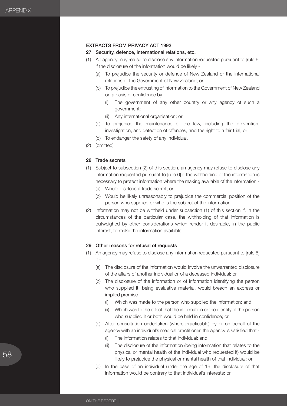## EXTRACTS FROM PRIVACY ACT 1993

#### 27 Security, defence, international relations, etc.

- (1) An agency may refuse to disclose any information requested pursuant to [rule 6] if the disclosure of the information would be likely -
	- (a) To prejudice the security or defence of New Zealand or the international relations of the Government of New Zealand; or
	- (b) To prejudice the entrusting of information to the Government of New Zealand on a basis of confidence by -
		- (i) The government of any other country or any agency of such a government;
		- (ii) Any international organisation; or
	- (c) To prejudice the maintenance of the law, including the prevention, investigation, and detection of offences, and the right to a fair trial; or
	- (d) To endanger the safety of any individual.
- (2) [omitted]

## 28 Trade secrets

- (1) Subject to subsection (2) of this section, an agency may refuse to disclose any information requested pursuant to [rule 6] if the withholding of the information is necessary to protect information where the making available of the information -
	- (a) Would disclose a trade secret; or
	- (b) Would be likely unreasonably to prejudice the commercial position of the person who supplied or who is the subject of the information.
- (2) Information may not be withheld under subsection (1) of this section if, in the circumstances of the particular case, the withholding of that information is outweighed by other considerations which render it desirable, in the public interest, to make the information available.

## 29 Other reasons for refusal of requests

- (1) An agency may refuse to disclose any information requested pursuant to [rule 6] if -
	- (a) The disclosure of the information would involve the unwarranted disclosure of the affairs of another individual or of a deceased individual; or
	- (b) The disclosure of the information or of information identifying the person who supplied it, being evaluative material, would breach an express or implied promise -
		- (i) Which was made to the person who supplied the information; and
		- (ii) Which was to the effect that the information or the identity of the person who supplied it or both would be held in confidence; or
	- (c) After consultation undertaken (where practicable) by or on behalf of the agency with an individual's medical practitioner, the agency is satisfied that -
		- (i) The information relates to that individual; and
		- (ii) The disclosure of the information (being information that relates to the physical or mental health of the individual who requested it) would be likely to prejudice the physical or mental health of that individual; or
	- (d) In the case of an individual under the age of 16, the disclosure of that information would be contrary to that individual's interests; or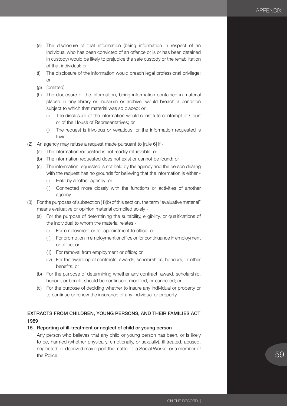- (e) The disclosure of that information (being information in respect of an individual who has been convicted of an offence or is or has been detained in custody) would be likely to prejudice the safe custody or the rehabilitation of that individual; or
- (f) The disclosure of the information would breach legal professional privilege; or
- (g) [omitted]
- (h) The disclosure of the information, being information contained in material placed in any library or museum or archive, would breach a condition subject to which that material was so placed; or
	- (i) The disclosure of the information would constitute contempt of Court or of the House of Representatives; or
	- (j) The request is frivolous or vexatious, or the information requested is trivial.
- (2) An agency may refuse a request made pursuant to [rule 6] if
	- (a) The information requested is not readily retrievable; or
	- (b) The information requested does not exist or cannot be found; or
	- (c) The information requested is not held by the agency and the person dealing with the request has no grounds for believing that the information is either -
		- (i) Held by another agency; or
		- (ii) Connected more closely with the functions or activities of another agency.
- (3) For the purposes of subsection (1)(b) of this section, the term "evaluative material" means evaluative or opinion material compiled solely -
	- (a) For the purpose of determining the suitability, eligibility, or qualifications of the individual to whom the material relates -
		- (i) For employment or for appointment to office; or
		- (ii) For promotion in employment or office or for continuance in employment or office; or
		- (iii) For removal from employment or office; or
		- (iv) For the awarding of contracts, awards, scholarships, honours, or other benefits; or
	- (b) For the purpose of determining whether any contract, award, scholarship, honour, or benefit should be continued, modified, or cancelled; or
	- (c) For the purpose of deciding whether to insure any individual or property or to continue or renew the insurance of any individual or property.

## EXTRACTS FROM CHILDREN, YOUNG PERSONS, AND THEIR FAMILIES ACT 1989

## 15 Reporting of ill-treatment or neglect of child or young person

Any person who believes that any child or young person has been, or is likely to be, harmed (whether physically, emotionally, or sexually), ill-treated, abused, neglected, or deprived may report the matter to a Social Worker or a member of the Police.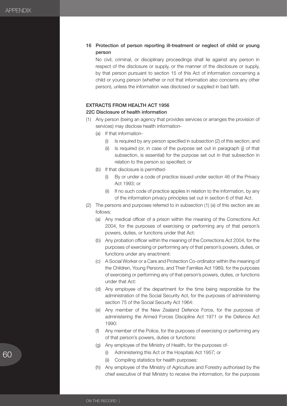## 16 Protection of person reporting ill-treatment or neglect of child or young person

No civil, criminal, or disciplinary proceedings shall lie against any person in respect of the disclosure or supply, or the manner of the disclosure or supply, by that person pursuant to section 15 of this Act of information concerning a child or young person (whether or not that information also concerns any other person), unless the information was disclosed or supplied in bad faith.

## EXTRACTS FROM HEALTH ACT 1956

#### 22C Disclosure of health information

- (1) Any person (being an agency that provides services or arranges the provision of services) may disclose health information-
	- (a) If that information-
		- (i) Is required by any person specified in subsection (2) of this section; and
		- (ii) Is required (or, in case of the purpose set out in paragraph (j) of that subsection, is essential) for the purpose set out in that subsection in relation to the person so specified; or
	- (b) If that disclosure is permitted-
		- (i) By or under a code of practice issued under section 46 of the Privacy Act 1993; or
		- (ii) If no such code of practice applies in relation to the information, by any of the information privacy principles set out in section 6 of that Act.
- (2) The persons and purposes referred to in subsection (1) (a) of this section are as follows:
	- (a) Any medical officer of a prison within the meaning of the Corrections Act 2004, for the purposes of exercising or performing any of that person's powers, duties, or functions under that Act:
	- (b) Any probation officer within the meaning of the Corrections Act 2004, for the purposes of exercising or performing any of that person's powers, duties, or functions under any enactment:
	- (c) A Social Worker or a Care and Protection Co-ordinator within the meaning of the Children, Young Persons, and Their Families Act 1989, for the purposes of exercising or performing any of that person's powers, duties, or functions under that Act:
	- (d) Any employee of the department for the time being responsible for the administration of the Social Security Act, for the purposes of administering section 75 of the Social Security Act 1964:
	- (e) Any member of the New Zealand Defence Force, for the purposes of administering the Armed Forces Discipline Act 1971 or the Defence Act 1990:
	- (f) Any member of the Police, for the purposes of exercising or performing any of that person's powers, duties or functions:
	- (g) Any employee of the Ministry of Health, for the purposes of-
		- (i) Administering this Act or the Hospitals Act 1957; or
		- (ii) Compiling statistics for health purposes:
	- (h) Any employee of the Ministry of Agriculture and Forestry authorised by the chief executive of that Ministry to receive the information, for the purposes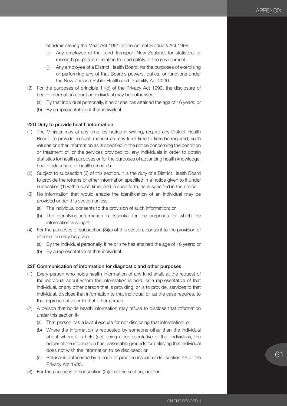of administering the Meat Act 1981 or the Animal Products Act 1999;

- (i) Any employee of the Land Transport New Zealand, for statistical or research purposes in relation to road safety or the environment:
- (j) Any employee of a District Health Board, for the purposes of exercising or performing any of that Board's powers, duties, or functions under the New Zealand Public Health and Disability Act 2000.
- (3) For the purposes of principle 11(d) of the Privacy Act 1993, the disclosure of health information about an individual may be authorised-
	- (a) By that individual personally, if he or she has attained the age of 16 years; or
	- (b) By a representative of that individual.

## 22D Duty to provide health information

- (1) The Minister may at any time, by notice in writing, require any District Health Board to provide, in such manner as may from time to time be required, such returns or other information as is specified in the notice concerning the condition or treatment of, or the services provided to, any individuals in order to obtain statistics for health purposes or for the purposes of advancing health knowledge, health education, or health research.
- (2) Subject to subsection (3) of this section, it is the duty of a District Health Board to provide the returns or other information specified in a notice given to it under subsection (1) within such time, and in such form, as is specified in the notice.
- (3) No information that would enable the identification of an individual may be provided under this section unless -
	- (a) The individual consents to the provision of such information; or
	- (b) The identifying information is essential for the purposes for which the information is sought.
- (4) For the purposes of subsection (3)(a) of this section, consent to the provision of information may be given -
	- (a) By the individual personally, if he or she has attained the age of 16 years; or
	- (b) By a representative of that individual.

#### 22F Communication of information for diagnostic and other purposes

- (1) Every person who holds health information of any kind shall, at the request of the individual about whom the information is held, or a representative of that individual, or any other person that is providing, or is to provide, services to that individual, disclose that information to that individual or, as the case requires, to that representative or to that other person.
- (2) A person that holds health information may refuse to disclose that information under this section if-
	- (a) That person has a lawful excuse for not disclosing that information; or
	- (b) Where the information is requested by someone other than the individual about whom it is held (not being a representative of that individual), the holder of the information has reasonable grounds for believing that individual does not wish the information to be disclosed; or
	- (c) Refusal is authorised by a code of practice issued under section 46 of the Privacy Act 1993.
- (3) For the purposes of subsection (2)(a) of this section, neither-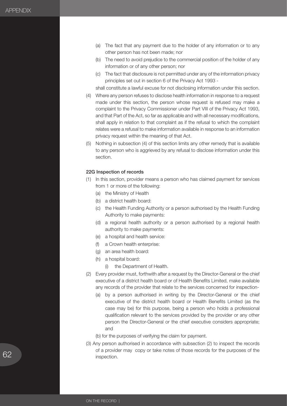- (a) The fact that any payment due to the holder of any information or to any other person has not been made; nor
- (b) The need to avoid prejudice to the commercial position of the holder of any information or of any other person; nor
- (c) The fact that disclosure is not permitted under any of the information privacy principles set out in section 6 of the Privacy Act 1993 -

shall constitute a lawful excuse for not disclosing information under this section.

- (4) Where any person refuses to disclose health information in response to a request made under this section, the person whose request is refused may make a complaint to the Privacy Commissioner under Part VIII of the Privacy Act 1993, and that Part of the Act, so far as applicable and with all necessary modifications, shall apply in relation to that complaint as if the refusal to which the complaint relates were a refusal to make information available in response to an information privacy request within the meaning of that Act.
- (5) Nothing in subsection (4) of this section limits any other remedy that is available to any person who is aggrieved by any refusal to disclose information under this section.

#### 22G Inspection of records

- (1) In this section, provider means a person who has claimed payment for services from 1 or more of the following:
	- (a) the Ministry of Health
	- (b) a district health board:
	- (c) the Health Funding Authority or a person authorised by the Health Funding Authority to make payments:
	- (d) a regional health authority or a person authorised by a regional health authority to make payments:
	- (e) a hospital and health service:
	- (f) a Crown health enterprise:
	- (g) an area health board:
	- (h) a hospital board:
		- (i) the Department of Health.
- (2) Every provider must, forthwith after a request by the Director-General or the chief executive of a district health board or of Health Benefits Limited, make available any records of the provider that relate to the services concerned for inspection-
	- (a) by a person authorised in writing by the Director-General or the chief executive of the district health board or Health Benefits Limited (as the case may be) for this purpose, being a person who holds a professional qualification relevant to the services provided by the provider or any other person the Director-General or the chief executive considers appropriate; and
	- (b) for the purposes of verifying the claim for payment.
- (3) Any person authorised in accordance with subsection (2) to inspect the records of a provider may copy or take notes of those records for the purposes of the inspection.